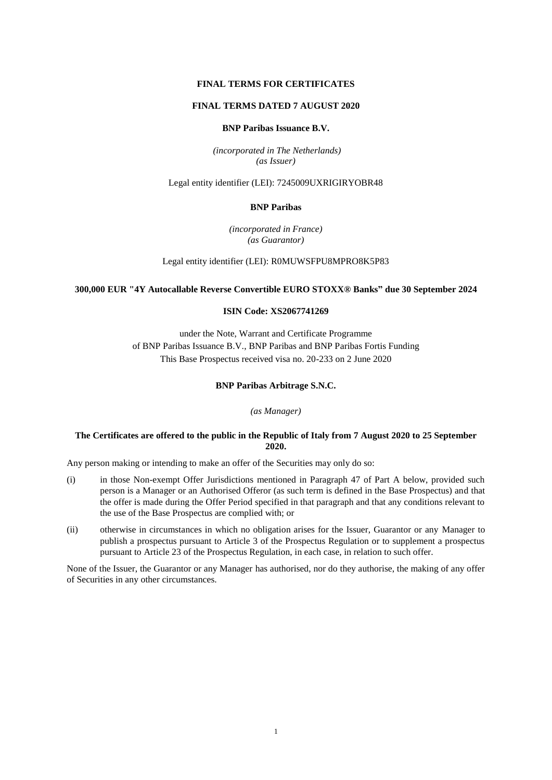# **FINAL TERMS FOR CERTIFICATES**

# **FINAL TERMS DATED 7 AUGUST 2020**

# **BNP Paribas Issuance B.V.**

*(incorporated in The Netherlands) (as Issuer)*

Legal entity identifier (LEI): 7245009UXRIGIRYOBR48

## **BNP Paribas**

*(incorporated in France) (as Guarantor)*

Legal entity identifier (LEI): R0MUWSFPU8MPRO8K5P83

# **300,000 EUR "4Y Autocallable Reverse Convertible EURO STOXX® Banks" due 30 September 2024**

# **ISIN Code: XS2067741269**

under the Note, Warrant and Certificate Programme of BNP Paribas Issuance B.V., BNP Paribas and BNP Paribas Fortis Funding This Base Prospectus received visa no. 20-233 on 2 June 2020

## **BNP Paribas Arbitrage S.N.C.**

*(as Manager)*

# **The Certificates are offered to the public in the Republic of Italy from 7 August 2020 to 25 September 2020.**

Any person making or intending to make an offer of the Securities may only do so:

- (i) in those Non-exempt Offer Jurisdictions mentioned in Paragraph 47 of Part A below, provided such person is a Manager or an Authorised Offeror (as such term is defined in the Base Prospectus) and that the offer is made during the Offer Period specified in that paragraph and that any conditions relevant to the use of the Base Prospectus are complied with; or
- (ii) otherwise in circumstances in which no obligation arises for the Issuer, Guarantor or any Manager to publish a prospectus pursuant to Article 3 of the Prospectus Regulation or to supplement a prospectus pursuant to Article 23 of the Prospectus Regulation, in each case, in relation to such offer.

None of the Issuer, the Guarantor or any Manager has authorised, nor do they authorise, the making of any offer of Securities in any other circumstances.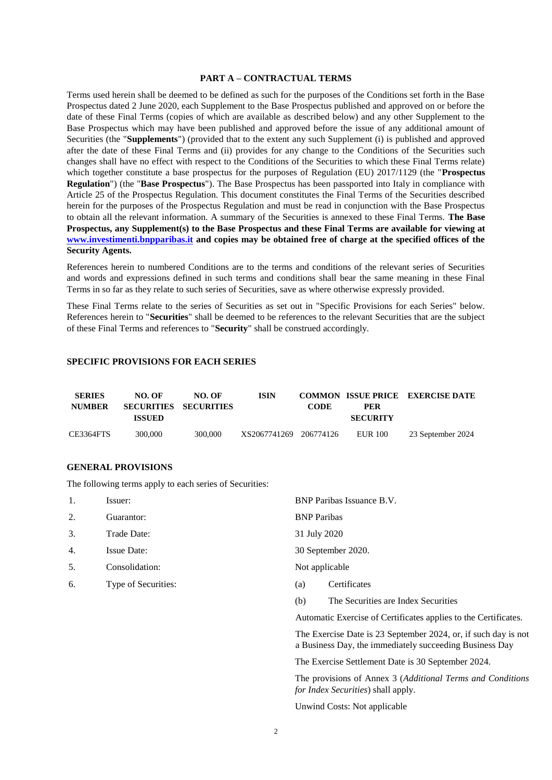## **PART A – CONTRACTUAL TERMS**

Terms used herein shall be deemed to be defined as such for the purposes of the Conditions set forth in the Base Prospectus dated 2 June 2020, each Supplement to the Base Prospectus published and approved on or before the date of these Final Terms (copies of which are available as described below) and any other Supplement to the Base Prospectus which may have been published and approved before the issue of any additional amount of Securities (the "**Supplements**") (provided that to the extent any such Supplement (i) is published and approved after the date of these Final Terms and (ii) provides for any change to the Conditions of the Securities such changes shall have no effect with respect to the Conditions of the Securities to which these Final Terms relate) which together constitute a base prospectus for the purposes of Regulation (EU) 2017/1129 (the "**Prospectus Regulation**") (the "**Base Prospectus**"). The Base Prospectus has been passported into Italy in compliance with Article 25 of the Prospectus Regulation. This document constitutes the Final Terms of the Securities described herein for the purposes of the Prospectus Regulation and must be read in conjunction with the Base Prospectus to obtain all the relevant information. A summary of the Securities is annexed to these Final Terms. **The Base Prospectus, any Supplement(s) to the Base Prospectus and these Final Terms are available for viewing at www.investimenti.bnpparibas.it and copies may be obtained free of charge at the specified offices of the Security Agents.**

References herein to numbered Conditions are to the terms and conditions of the relevant series of Securities and words and expressions defined in such terms and conditions shall bear the same meaning in these Final Terms in so far as they relate to such series of Securities, save as where otherwise expressly provided.

These Final Terms relate to the series of Securities as set out in "Specific Provisions for each Series" below. References herein to "**Securities**" shall be deemed to be references to the relevant Securities that are the subject of these Final Terms and references to "**Security**" shall be construed accordingly.

# **SPECIFIC PROVISIONS FOR EACH SERIES**

| <b>SERIES</b><br><b>NUMBER</b> | NO. OF  | NO. OF<br>SECURITIES SECURITIES | ISIN                   | <b>CODE</b> | PER             | <b>COMMON ISSUE PRICE EXERCISE DATE</b> |
|--------------------------------|---------|---------------------------------|------------------------|-------------|-----------------|-----------------------------------------|
|                                | ISSUED  |                                 |                        |             | <b>SECURITY</b> |                                         |
| CE3364FTS                      | 300,000 | 300,000                         | XS2067741269 206774126 |             | EUR 100         | 23 September 2024                       |

## **GENERAL PROVISIONS**

The following terms apply to each series of Securities:

| 1. | Issuer:             | BNP Paribas Issuance B.V. |                                     |
|----|---------------------|---------------------------|-------------------------------------|
| 2. | Guarantor:          | <b>BNP</b> Paribas        |                                     |
| 3. | Trade Date:         | 31 July 2020              |                                     |
| 4. | <b>Issue Date:</b>  | 30 September 2020.        |                                     |
| 5. | Consolidation:      | Not applicable            |                                     |
| 6. | Type of Securities: | (a)                       | Certificates                        |
|    |                     | (b)                       | The Securities are Index Securities |
|    |                     |                           |                                     |

Automatic Exercise of Certificates applies to the Certificates.

The Exercise Date is 23 September 2024, or, if such day is not a Business Day, the immediately succeeding Business Day

The Exercise Settlement Date is 30 September 2024.

The provisions of Annex 3 (*Additional Terms and Conditions for Index Securities*) shall apply.

Unwind Costs: Not applicable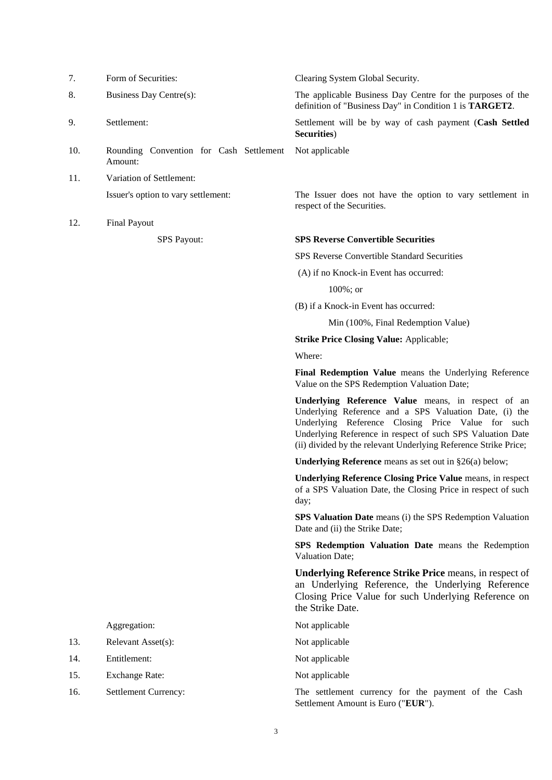| Form of Securities: |
|---------------------|
|                     |

- 
- 
- 10. Rounding Convention for Cash Settlement Amount:
- 11. Variation of Settlement:
- 12. Final Payout

Clearing System Global Security.

8. Business Day Centre(s): The applicable Business Day Centre for the purposes of the definition of "Business Day" in Condition 1 is **TARGET2**.

9. Settlement: Settlement will be by way of cash payment (**Cash Settled Securities**)

Not applicable

Issuer's option to vary settlement: The Issuer does not have the option to vary settlement in respect of the Securities.

## SPS Payout: **SPS Reverse Convertible Securities**

SPS Reverse Convertible Standard Securities

(A) if no Knock-in Event has occurred:

100%; or

(B) if a Knock-in Event has occurred:

Min (100%, Final Redemption Value)

**Strike Price Closing Value:** Applicable;

Where:

**Final Redemption Value** means the Underlying Reference Value on the SPS Redemption Valuation Date;

**Underlying Reference Value** means, in respect of an Underlying Reference and a SPS Valuation Date, (i) the Underlying Reference Closing Price Value for such Underlying Reference in respect of such SPS Valuation Date (ii) divided by the relevant Underlying Reference Strike Price;

**Underlying Reference** means as set out in §26(a) below;

**Underlying Reference Closing Price Value** means, in respect of a SPS Valuation Date, the Closing Price in respect of such day;

**SPS Valuation Date** means (i) the SPS Redemption Valuation Date and (ii) the Strike Date;

**SPS Redemption Valuation Date** means the Redemption Valuation Date;

**Underlying Reference Strike Price** means, in respect of an Underlying Reference, the Underlying Reference Closing Price Value for such Underlying Reference on the Strike Date.

Aggregation: Not applicable

- 
- 

16. Settlement Currency: The settlement currency for the payment of the Cash Settlement Amount is Euro ("**EUR**").

- 13. Relevant Asset(s): Not applicable
- 14. Entitlement: Not applicable
- 15. Exchange Rate: Not applicable
-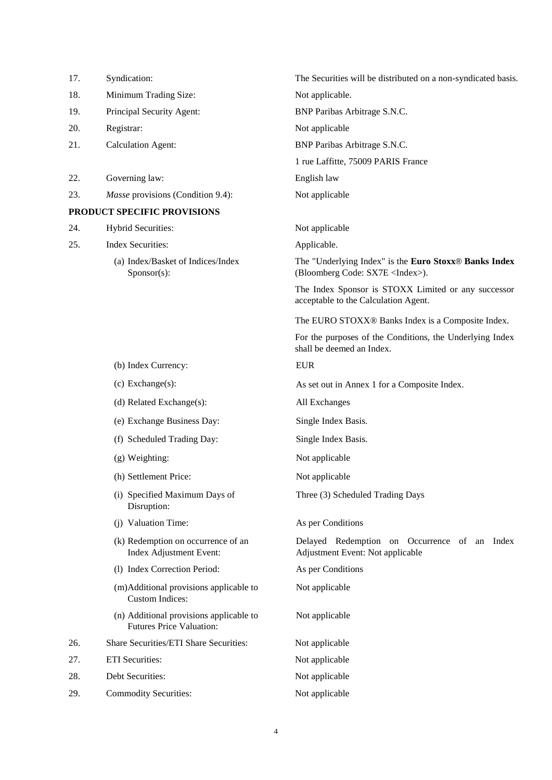| 17. | Syndication:                                                               | The Securities will be distributed on a non-syndicated basis.                                    |
|-----|----------------------------------------------------------------------------|--------------------------------------------------------------------------------------------------|
| 18. | Minimum Trading Size:                                                      | Not applicable.                                                                                  |
| 19. | Principal Security Agent:                                                  | BNP Paribas Arbitrage S.N.C.                                                                     |
| 20. | Registrar:                                                                 | Not applicable                                                                                   |
| 21. | <b>Calculation Agent:</b>                                                  | BNP Paribas Arbitrage S.N.C.                                                                     |
|     |                                                                            | 1 rue Laffitte, 75009 PARIS France                                                               |
| 22. | Governing law:                                                             | English law                                                                                      |
| 23. | <i>Masse</i> provisions (Condition 9.4):                                   | Not applicable                                                                                   |
|     | PRODUCT SPECIFIC PROVISIONS                                                |                                                                                                  |
| 24. | Hybrid Securities:                                                         | Not applicable                                                                                   |
| 25. | <b>Index Securities:</b>                                                   | Applicable.                                                                                      |
|     | (a) Index/Basket of Indices/Index<br>Sponsor(s):                           | The "Underlying Index" is the Euro Stoxx® Banks Index<br>(Bloomberg Code: SX7E <index>).</index> |
|     |                                                                            | The Index Sponsor is STOXX Limited or any successor<br>acceptable to the Calculation Agent.      |
|     |                                                                            | The EURO STOXX® Banks Index is a Composite Index.                                                |
|     |                                                                            | For the purposes of the Conditions, the Underlying Index<br>shall be deemed an Index.            |
|     | (b) Index Currency:                                                        | <b>EUR</b>                                                                                       |
|     | $(c)$ Exchange $(s)$ :                                                     | As set out in Annex 1 for a Composite Index.                                                     |
|     | (d) Related Exchange(s):                                                   | All Exchanges                                                                                    |
|     | (e) Exchange Business Day:                                                 | Single Index Basis.                                                                              |
|     | (f) Scheduled Trading Day:                                                 | Single Index Basis.                                                                              |
|     | (g) Weighting:                                                             | Not applicable                                                                                   |
|     | (h) Settlement Price:                                                      | Not applicable                                                                                   |
|     | (i) Specified Maximum Days of<br>Disruption:                               | Three (3) Scheduled Trading Days                                                                 |
|     | (j) Valuation Time:                                                        | As per Conditions                                                                                |
|     | (k) Redemption on occurrence of an<br>Index Adjustment Event:              | Delayed Redemption on Occurrence of an Index<br>Adjustment Event: Not applicable                 |
|     | (1) Index Correction Period:                                               | As per Conditions                                                                                |
|     | (m)Additional provisions applicable to<br><b>Custom Indices:</b>           | Not applicable                                                                                   |
|     | (n) Additional provisions applicable to<br><b>Futures Price Valuation:</b> | Not applicable                                                                                   |
| 26. | Share Securities/ETI Share Securities:                                     | Not applicable                                                                                   |
| 27. | <b>ETI</b> Securities:                                                     | Not applicable                                                                                   |
| 28. | Debt Securities:                                                           | Not applicable                                                                                   |
| 29. | <b>Commodity Securities:</b>                                               | Not applicable                                                                                   |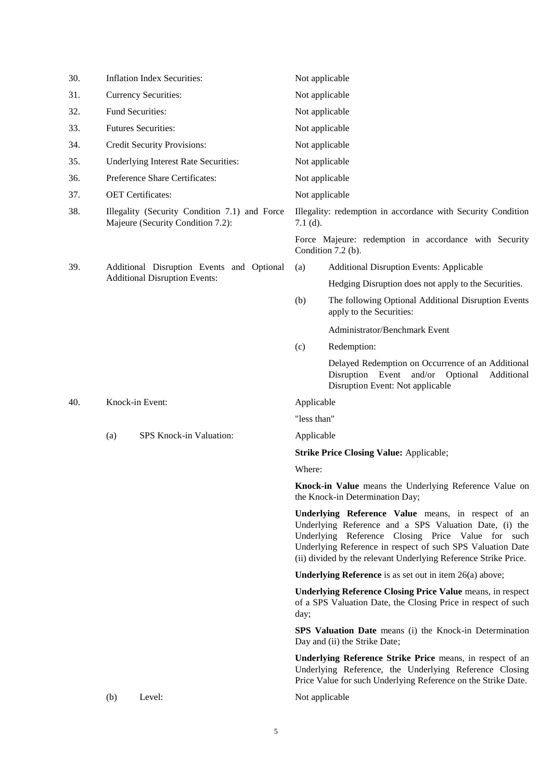| 30. |     | <b>Inflation Index Securities:</b>                                                 | Not applicable                                                                                                                             |                                                                                                                                                                                                                                                                                                    |  |
|-----|-----|------------------------------------------------------------------------------------|--------------------------------------------------------------------------------------------------------------------------------------------|----------------------------------------------------------------------------------------------------------------------------------------------------------------------------------------------------------------------------------------------------------------------------------------------------|--|
| 31. |     | <b>Currency Securities:</b>                                                        | Not applicable                                                                                                                             |                                                                                                                                                                                                                                                                                                    |  |
| 32. |     | Fund Securities:                                                                   | Not applicable                                                                                                                             |                                                                                                                                                                                                                                                                                                    |  |
| 33. |     | <b>Futures Securities:</b>                                                         | Not applicable                                                                                                                             |                                                                                                                                                                                                                                                                                                    |  |
| 34. |     | <b>Credit Security Provisions:</b>                                                 | Not applicable                                                                                                                             |                                                                                                                                                                                                                                                                                                    |  |
| 35. |     | Underlying Interest Rate Securities:                                               | Not applicable                                                                                                                             |                                                                                                                                                                                                                                                                                                    |  |
| 36. |     | Preference Share Certificates:                                                     | Not applicable                                                                                                                             |                                                                                                                                                                                                                                                                                                    |  |
| 37. |     | <b>OET</b> Certificates:                                                           | Not applicable                                                                                                                             |                                                                                                                                                                                                                                                                                                    |  |
| 38. |     | Illegality (Security Condition 7.1) and Force<br>Majeure (Security Condition 7.2): | $7.1$ (d).                                                                                                                                 | Illegality: redemption in accordance with Security Condition                                                                                                                                                                                                                                       |  |
|     |     |                                                                                    |                                                                                                                                            | Force Majeure: redemption in accordance with Security<br>Condition 7.2 (b).                                                                                                                                                                                                                        |  |
| 39. |     | Additional Disruption Events and Optional                                          | (a)                                                                                                                                        | <b>Additional Disruption Events: Applicable</b>                                                                                                                                                                                                                                                    |  |
|     |     | <b>Additional Disruption Events:</b>                                               |                                                                                                                                            | Hedging Disruption does not apply to the Securities.                                                                                                                                                                                                                                               |  |
|     |     |                                                                                    | (b)                                                                                                                                        | The following Optional Additional Disruption Events<br>apply to the Securities:                                                                                                                                                                                                                    |  |
|     |     |                                                                                    |                                                                                                                                            | Administrator/Benchmark Event                                                                                                                                                                                                                                                                      |  |
|     |     |                                                                                    | (c)                                                                                                                                        | Redemption:                                                                                                                                                                                                                                                                                        |  |
|     |     |                                                                                    |                                                                                                                                            | Delayed Redemption on Occurrence of an Additional<br>Disruption Event and/or Optional<br>Additional<br>Disruption Event: Not applicable                                                                                                                                                            |  |
| 40. |     | Knock-in Event:                                                                    | Applicable                                                                                                                                 |                                                                                                                                                                                                                                                                                                    |  |
|     |     |                                                                                    | "less than"                                                                                                                                |                                                                                                                                                                                                                                                                                                    |  |
|     | (a) | SPS Knock-in Valuation:                                                            | Applicable                                                                                                                                 |                                                                                                                                                                                                                                                                                                    |  |
|     |     |                                                                                    |                                                                                                                                            | <b>Strike Price Closing Value: Applicable;</b>                                                                                                                                                                                                                                                     |  |
|     |     |                                                                                    | Where:                                                                                                                                     |                                                                                                                                                                                                                                                                                                    |  |
|     |     |                                                                                    |                                                                                                                                            | Knock-in Value means the Underlying Reference Value on<br>the Knock-in Determination Day;                                                                                                                                                                                                          |  |
|     |     |                                                                                    |                                                                                                                                            | Underlying Reference Value means, in respect of an<br>Underlying Reference and a SPS Valuation Date, (i) the<br>Underlying Reference Closing Price Value for such<br>Underlying Reference in respect of such SPS Valuation Date<br>(ii) divided by the relevant Underlying Reference Strike Price. |  |
|     |     |                                                                                    |                                                                                                                                            | <b>Underlying Reference</b> is as set out in item $26(a)$ above;                                                                                                                                                                                                                                   |  |
|     |     |                                                                                    | <b>Underlying Reference Closing Price Value means, in respect</b><br>of a SPS Valuation Date, the Closing Price in respect of such<br>day; |                                                                                                                                                                                                                                                                                                    |  |
|     |     |                                                                                    | <b>SPS Valuation Date</b> means (i) the Knock-in Determination<br>Day and (ii) the Strike Date;                                            |                                                                                                                                                                                                                                                                                                    |  |
|     |     |                                                                                    |                                                                                                                                            | Underlying Reference Strike Price means, in respect of an<br>Underlying Reference, the Underlying Reference Closing<br>Price Value for such Underlying Reference on the Strike Date.                                                                                                               |  |
|     | (b) | Level:                                                                             | Not applicable                                                                                                                             |                                                                                                                                                                                                                                                                                                    |  |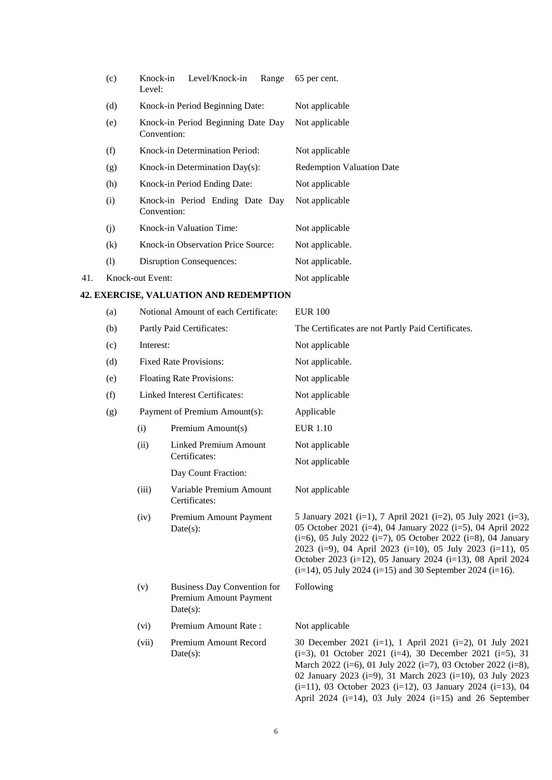|     | (c) | Level/Knock-in<br>Knock-in<br>Range<br>Level:     | 65 per cent.                     |
|-----|-----|---------------------------------------------------|----------------------------------|
|     | (d) | Knock-in Period Beginning Date:                   | Not applicable                   |
|     | (e) | Knock-in Period Beginning Date Day<br>Convention: | Not applicable                   |
|     | (f) | <b>Knock-in Determination Period:</b>             | Not applicable                   |
|     | (g) | Knock-in Determination $Day(s)$ :                 | <b>Redemption Valuation Date</b> |
|     | (h) | Knock-in Period Ending Date:                      | Not applicable                   |
|     | (i) | Knock-in Period Ending Date Day<br>Convention:    | Not applicable                   |
|     | (j) | Knock-in Valuation Time:                          | Not applicable                   |
|     | (k) | <b>Knock-in Observation Price Source:</b>         | Not applicable.                  |
|     | (1) | <b>Disruption Consequences:</b>                   | Not applicable.                  |
| 41. |     | Knock-out Event:                                  | Not applicable                   |

# **42. EXERCISE, VALUATION AND REDEMPTION**

| (a) | Notional Amount of each Certificate: |                                                                             | <b>EUR 100</b>                                                                                                                                                                                                                                                                                                                                                                                        |  |  |
|-----|--------------------------------------|-----------------------------------------------------------------------------|-------------------------------------------------------------------------------------------------------------------------------------------------------------------------------------------------------------------------------------------------------------------------------------------------------------------------------------------------------------------------------------------------------|--|--|
| (b) | Partly Paid Certificates:            |                                                                             | The Certificates are not Partly Paid Certificates.                                                                                                                                                                                                                                                                                                                                                    |  |  |
| (c) | Interest:                            |                                                                             | Not applicable                                                                                                                                                                                                                                                                                                                                                                                        |  |  |
| (d) | <b>Fixed Rate Provisions:</b>        |                                                                             | Not applicable.                                                                                                                                                                                                                                                                                                                                                                                       |  |  |
| (e) |                                      | <b>Floating Rate Provisions:</b>                                            | Not applicable                                                                                                                                                                                                                                                                                                                                                                                        |  |  |
| (f) |                                      | <b>Linked Interest Certificates:</b>                                        | Not applicable                                                                                                                                                                                                                                                                                                                                                                                        |  |  |
| (g) |                                      | Payment of Premium Amount(s):                                               | Applicable                                                                                                                                                                                                                                                                                                                                                                                            |  |  |
|     | (i)                                  | Premium Amount(s)                                                           | <b>EUR 1.10</b>                                                                                                                                                                                                                                                                                                                                                                                       |  |  |
|     | (ii)                                 | <b>Linked Premium Amount</b>                                                | Not applicable                                                                                                                                                                                                                                                                                                                                                                                        |  |  |
|     |                                      | Certificates:                                                               | Not applicable                                                                                                                                                                                                                                                                                                                                                                                        |  |  |
|     |                                      | Day Count Fraction:                                                         |                                                                                                                                                                                                                                                                                                                                                                                                       |  |  |
|     | (iii)                                | Variable Premium Amount<br>Certificates:                                    | Not applicable                                                                                                                                                                                                                                                                                                                                                                                        |  |  |
|     | (iv)                                 | Premium Amount Payment<br>$Date(s)$ :                                       | 5 January 2021 (i=1), 7 April 2021 (i=2), 05 July 2021 (i=3),<br>05 October 2021 (i=4), 04 January 2022 (i=5), 04 April 2022<br>$(i=6)$ , 05 July 2022 $(i=7)$ , 05 October 2022 $(i=8)$ , 04 January<br>2023 (i=9), 04 April 2023 (i=10), 05 July 2023 (i=11), 05<br>October 2023 (i=12), 05 January 2024 (i=13), 08 April 2024<br>$(i=14)$ , 05 July 2024 $(i=15)$ and 30 September 2024 $(i=16)$ . |  |  |
|     | (v)                                  | <b>Business Day Convention for</b><br>Premium Amount Payment<br>$Date(s)$ : | Following                                                                                                                                                                                                                                                                                                                                                                                             |  |  |
|     | (vi)                                 | Premium Amount Rate:                                                        | Not applicable                                                                                                                                                                                                                                                                                                                                                                                        |  |  |
|     | (vii)                                | Premium Amount Record<br>$Date(s)$ :                                        | 30 December 2021 (i=1), 1 April 2021 (i=2), 01 July 2021<br>$(i=3)$ , 01 October 2021 $(i=4)$ , 30 December 2021 $(i=5)$ , 31<br>March 2022 (i=6), 01 July 2022 (i=7), 03 October 2022 (i=8),<br>02 January 2023 (i=9), 31 March 2023 (i=10), 03 July 2023                                                                                                                                            |  |  |

(i=11), 03 October 2023 (i=12), 03 January 2024 (i=13), 04 April 2024 (i=14), 03 July 2024 (i=15) and 26 September

6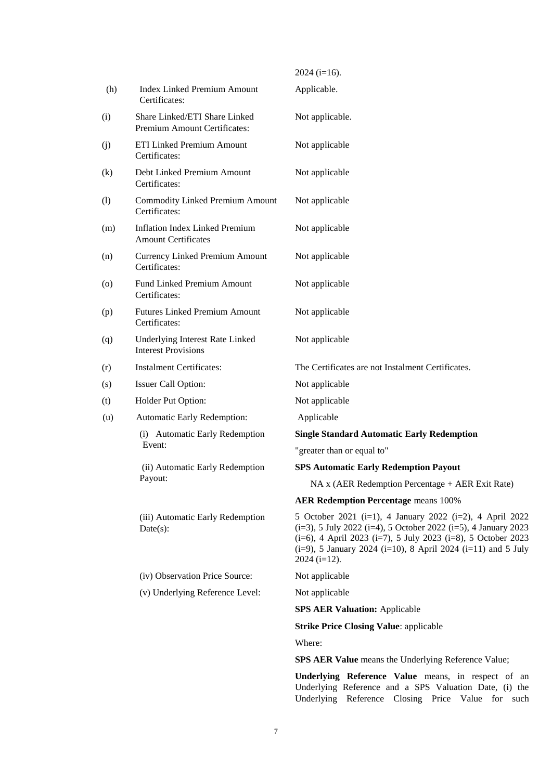|                    |                                                                     | $2024$ (i=16).                                                                                                                                                                                                                                                                                         |
|--------------------|---------------------------------------------------------------------|--------------------------------------------------------------------------------------------------------------------------------------------------------------------------------------------------------------------------------------------------------------------------------------------------------|
| (h)                | <b>Index Linked Premium Amount</b><br>Certificates:                 | Applicable.                                                                                                                                                                                                                                                                                            |
| (i)                | Share Linked/ETI Share Linked<br>Premium Amount Certificates:       | Not applicable.                                                                                                                                                                                                                                                                                        |
| (j)                | ETI Linked Premium Amount<br>Certificates:                          | Not applicable                                                                                                                                                                                                                                                                                         |
| (k)                | Debt Linked Premium Amount<br>Certificates:                         | Not applicable                                                                                                                                                                                                                                                                                         |
| (1)                | <b>Commodity Linked Premium Amount</b><br>Certificates:             | Not applicable                                                                                                                                                                                                                                                                                         |
| (m)                | <b>Inflation Index Linked Premium</b><br><b>Amount Certificates</b> | Not applicable                                                                                                                                                                                                                                                                                         |
| (n)                | <b>Currency Linked Premium Amount</b><br>Certificates:              | Not applicable                                                                                                                                                                                                                                                                                         |
| $\left( 0 \right)$ | <b>Fund Linked Premium Amount</b><br>Certificates:                  | Not applicable                                                                                                                                                                                                                                                                                         |
| (p)                | <b>Futures Linked Premium Amount</b><br>Certificates:               | Not applicable                                                                                                                                                                                                                                                                                         |
| (q)                | Underlying Interest Rate Linked<br><b>Interest Provisions</b>       | Not applicable                                                                                                                                                                                                                                                                                         |
| (r)                | <b>Instalment Certificates:</b>                                     | The Certificates are not Instalment Certificates.                                                                                                                                                                                                                                                      |
| (s)                | Issuer Call Option:                                                 | Not applicable                                                                                                                                                                                                                                                                                         |
| (t)                | Holder Put Option:                                                  | Not applicable                                                                                                                                                                                                                                                                                         |
| (u)                | <b>Automatic Early Redemption:</b>                                  | Applicable                                                                                                                                                                                                                                                                                             |
|                    | (i) Automatic Early Redemption                                      | <b>Single Standard Automatic Early Redemption</b>                                                                                                                                                                                                                                                      |
|                    | Event:                                                              | "greater than or equal to"                                                                                                                                                                                                                                                                             |
|                    | (ii) Automatic Early Redemption                                     | <b>SPS Automatic Early Redemption Payout</b>                                                                                                                                                                                                                                                           |
|                    | Payout:                                                             | NA x (AER Redemption Percentage + AER Exit Rate)                                                                                                                                                                                                                                                       |
|                    |                                                                     | <b>AER Redemption Percentage means 100%</b>                                                                                                                                                                                                                                                            |
|                    | (iii) Automatic Early Redemption<br>Date(s):                        | 5 October 2021 (i=1), 4 January 2022 (i=2), 4 April 2022<br>$(i=3)$ , 5 July 2022 $(i=4)$ , 5 October 2022 $(i=5)$ , 4 January 2023<br>$(i=6)$ , 4 April 2023 $(i=7)$ , 5 July 2023 $(i=8)$ , 5 October 2023<br>$(i=9)$ , 5 January 2024 $(i=10)$ , 8 April 2024 $(i=11)$ and 5 July<br>$2024$ (i=12). |
|                    | (iv) Observation Price Source:                                      | Not applicable                                                                                                                                                                                                                                                                                         |
|                    | (v) Underlying Reference Level:                                     | Not applicable                                                                                                                                                                                                                                                                                         |
|                    |                                                                     | <b>SPS AER Valuation: Applicable</b>                                                                                                                                                                                                                                                                   |
|                    |                                                                     | <b>Strike Price Closing Value: applicable</b>                                                                                                                                                                                                                                                          |
|                    |                                                                     | Where:                                                                                                                                                                                                                                                                                                 |
|                    |                                                                     | <b>SPS AER Value</b> means the Underlying Reference Value;                                                                                                                                                                                                                                             |

**Underlying Reference Value** means, in respect of an Underlying Reference and a SPS Valuation Date, (i) the Underlying Reference Closing Price Value for such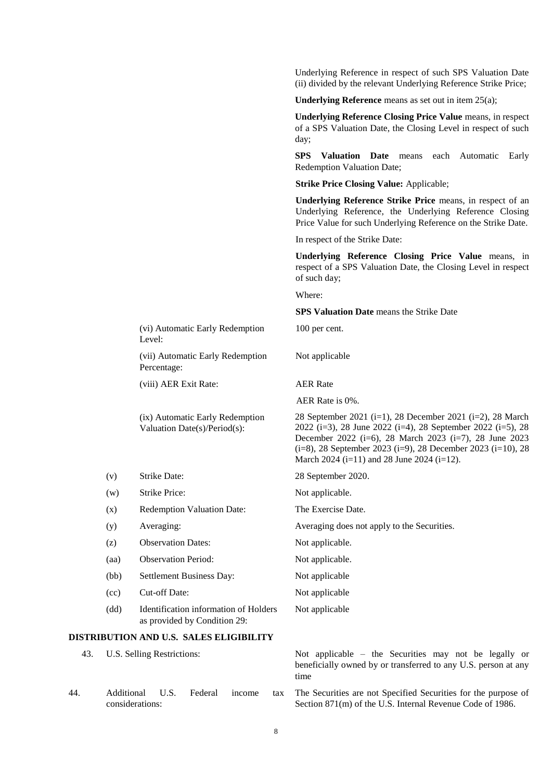Underlying Reference in respect of such SPS Valuation Date (ii) divided by the relevant Underlying Reference Strike Price; **Underlying Reference** means as set out in item 25(a); **Underlying Reference Closing Price Value** means, in respect of a SPS Valuation Date, the Closing Level in respect of such day; **SPS Valuation Date** means each Automatic Early Redemption Valuation Date; **Strike Price Closing Value:** Applicable; **Underlying Reference Strike Price** means, in respect of an Underlying Reference, the Underlying Reference Closing Price Value for such Underlying Reference on the Strike Date. In respect of the Strike Date: **Underlying Reference Closing Price Value** means, in respect of a SPS Valuation Date, the Closing Level in respect of such day; Where: **SPS Valuation Date** means the Strike Date (vi) Automatic Early Redemption Level: 100 per cent. (vii) Automatic Early Redemption Percentage: Not applicable (viii) AER Exit Rate: AER Rate AER Rate is 0%. (ix) Automatic Early Redemption Valuation Date(s)/Period(s): 28 September 2021 (i=1), 28 December 2021 (i=2), 28 March 2022 (i=3), 28 June 2022 (i=4), 28 September 2022 (i=5), 28 December 2022 (i=6), 28 March 2023 (i=7), 28 June 2023 (i=8), 28 September 2023 (i=9), 28 December 2023 (i=10), 28 March 2024 (i=11) and 28 June 2024 (i=12). (v) Strike Date: 28 September 2020. (w) Strike Price: Not applicable. (x) Redemption Valuation Date: The Exercise Date. (y) Averaging: Averaging does not apply to the Securities. (z) Observation Dates: Not applicable. (aa) Observation Period: Not applicable. (bb) Settlement Business Day: Not applicable (cc) Cut-off Date: Not applicable (dd) Identification information of Holders as provided by Condition 29: Not applicable **DISTRIBUTION AND U.S. SALES ELIGIBILITY** 43. U.S. Selling Restrictions: Not applicable – the Securities may not be legally or

beneficially owned by or transferred to any U.S. person at any time 44. Additional U.S. Federal income tax considerations: The Securities are not Specified Securities for the purpose of Section 871(m) of the U.S. Internal Revenue Code of 1986.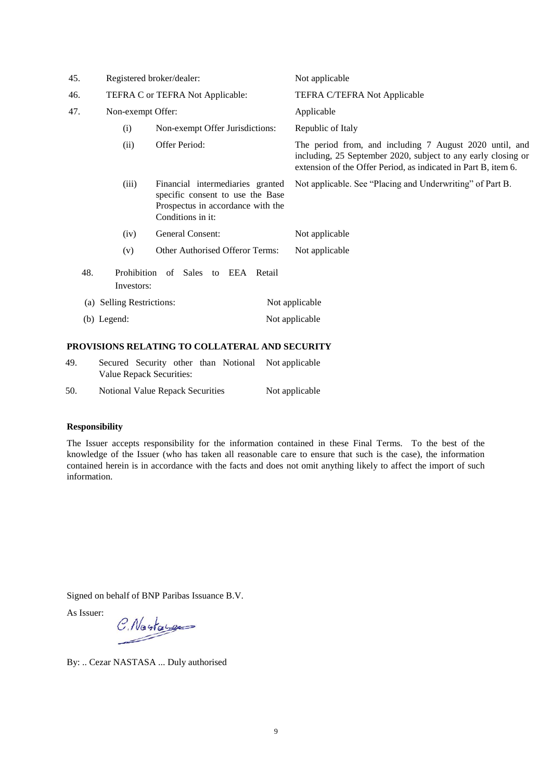| 45. | Registered broker/dealer:    |                                                                                                                                | Not applicable                                                                                                                                                                             |  |  |
|-----|------------------------------|--------------------------------------------------------------------------------------------------------------------------------|--------------------------------------------------------------------------------------------------------------------------------------------------------------------------------------------|--|--|
| 46. |                              | TEFRA C or TEFRA Not Applicable:                                                                                               | TEFRA C/TEFRA Not Applicable                                                                                                                                                               |  |  |
| 47. | Non-exempt Offer:            |                                                                                                                                | Applicable                                                                                                                                                                                 |  |  |
|     | (i)                          | Non-exempt Offer Jurisdictions:                                                                                                | Republic of Italy                                                                                                                                                                          |  |  |
|     | (ii)                         | Offer Period:                                                                                                                  | The period from, and including 7 August 2020 until, and<br>including, 25 September 2020, subject to any early closing or<br>extension of the Offer Period, as indicated in Part B, item 6. |  |  |
|     | (iii)                        | Financial intermediaries granted<br>specific consent to use the Base<br>Prospectus in accordance with the<br>Conditions in it: | Not applicable. See "Placing and Underwriting" of Part B.                                                                                                                                  |  |  |
|     | (iv)                         | General Consent:                                                                                                               | Not applicable                                                                                                                                                                             |  |  |
|     | (v)                          | Other Authorised Offeror Terms:                                                                                                | Not applicable                                                                                                                                                                             |  |  |
| 48. | Investors:                   | Prohibition of Sales to EEA Retail                                                                                             |                                                                                                                                                                                            |  |  |
| (a) | <b>Selling Restrictions:</b> |                                                                                                                                | Not applicable                                                                                                                                                                             |  |  |
|     | (b) Legend:                  |                                                                                                                                | Not applicable                                                                                                                                                                             |  |  |
|     |                              |                                                                                                                                |                                                                                                                                                                                            |  |  |

# **PROVISIONS RELATING TO COLLATERAL AND SECURITY**

- 49. Secured Security other than Notional Not applicable Value Repack Securities:
- 50. Notional Value Repack Securities Not applicable

# **Responsibility**

The Issuer accepts responsibility for the information contained in these Final Terms. To the best of the knowledge of the Issuer (who has taken all reasonable care to ensure that such is the case), the information contained herein is in accordance with the facts and does not omit anything likely to affect the import of such information.

Signed on behalf of BNP Paribas Issuance B.V.

As Issuer:

C. Nastages

By: .. Cezar NASTASA ... Duly authorised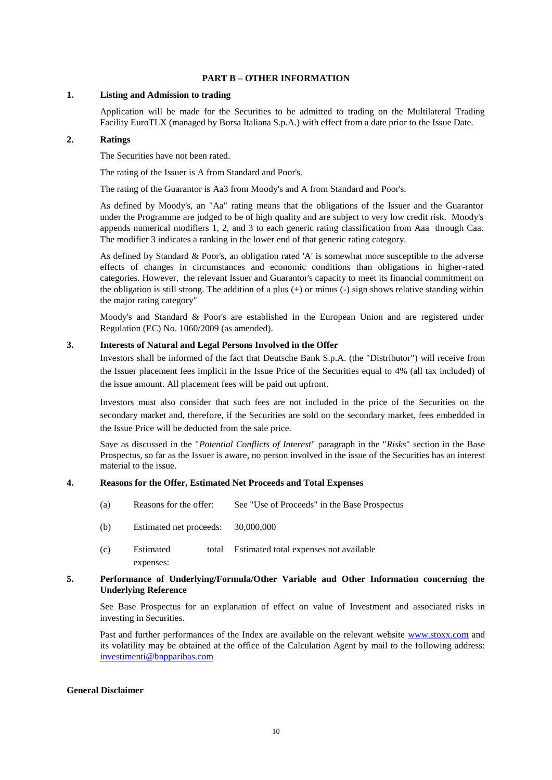# **PART B – OTHER INFORMATION**

## **1. Listing and Admission to trading**

Application will be made for the Securities to be admitted to trading on the Multilateral Trading Facility EuroTLX (managed by Borsa Italiana S.p.A.) with effect from a date prior to the Issue Date.

# **2. Ratings**

The Securities have not been rated.

The rating of the Issuer is A from Standard and Poor's.

The rating of the Guarantor is Aa3 from Moody's and A from Standard and Poor's.

As defined by Moody's, an "Aa" rating means that the obligations of the Issuer and the Guarantor under the Programme are judged to be of high quality and are subject to very low credit risk. Moody's appends numerical modifiers 1, 2, and 3 to each generic rating classification from Aaa through Caa. The modifier 3 indicates a ranking in the lower end of that generic rating category.

As defined by Standard & Poor's, an obligation rated 'A' is somewhat more susceptible to the adverse effects of changes in circumstances and economic conditions than obligations in higher-rated categories. However, the relevant Issuer and Guarantor's capacity to meet its financial commitment on the obligation is still strong. The addition of a plus  $(+)$  or minus  $(-)$  sign shows relative standing within the major rating category"

Moody's and Standard & Poor's are established in the European Union and are registered under Regulation (EC) No. 1060/2009 (as amended).

# **3. Interests of Natural and Legal Persons Involved in the Offer**

Investors shall be informed of the fact that Deutsche Bank S.p.A. (the "Distributor") will receive from the Issuer placement fees implicit in the Issue Price of the Securities equal to 4% (all tax included) of the issue amount. All placement fees will be paid out upfront.

Investors must also consider that such fees are not included in the price of the Securities on the secondary market and, therefore, if the Securities are sold on the secondary market, fees embedded in the Issue Price will be deducted from the sale price.

Save as discussed in the "*Potential Conflicts of Interest*" paragraph in the "*Risks*" section in the Base Prospectus, so far as the Issuer is aware, no person involved in the issue of the Securities has an interest material to the issue.

# **4. Reasons for the Offer, Estimated Net Proceeds and Total Expenses**

- (a) Reasons for the offer: See "Use of Proceeds" in the Base Prospectus
- (b) Estimated net proceeds: 30,000,000
- (c) Estimated total expenses: Estimated total expenses not available

# **5. Performance of Underlying/Formula/Other Variable and Other Information concerning the Underlying Reference**

See Base Prospectus for an explanation of effect on value of Investment and associated risks in investing in Securities.

Past and further performances of the Index are available on the relevant website www.stoxx.com and its volatility may be obtained at the office of the Calculation Agent by mail to the following address: [investimenti@bnpparibas.com](mailto:investimenti@bnpparibas.com)

## **General Disclaimer**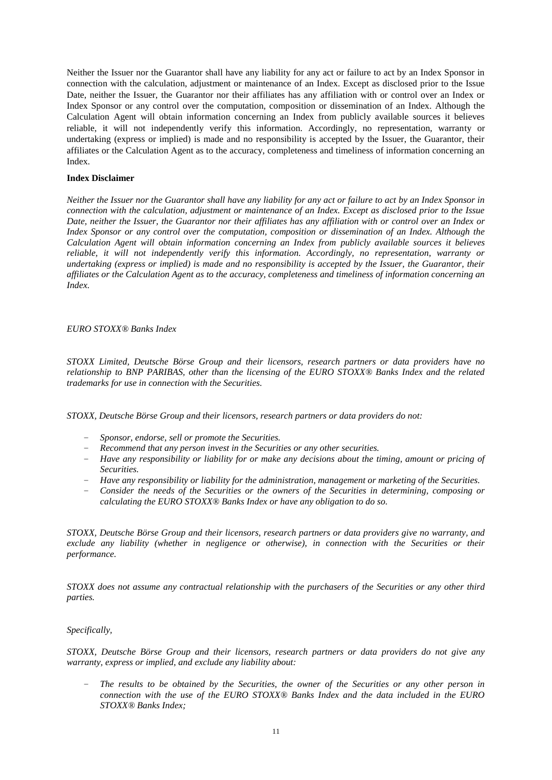Neither the Issuer nor the Guarantor shall have any liability for any act or failure to act by an Index Sponsor in connection with the calculation, adjustment or maintenance of an Index. Except as disclosed prior to the Issue Date, neither the Issuer, the Guarantor nor their affiliates has any affiliation with or control over an Index or Index Sponsor or any control over the computation, composition or dissemination of an Index. Although the Calculation Agent will obtain information concerning an Index from publicly available sources it believes reliable, it will not independently verify this information. Accordingly, no representation, warranty or undertaking (express or implied) is made and no responsibility is accepted by the Issuer, the Guarantor, their affiliates or the Calculation Agent as to the accuracy, completeness and timeliness of information concerning an Index.

# **Index Disclaimer**

*Neither the Issuer nor the Guarantor shall have any liability for any act or failure to act by an Index Sponsor in connection with the calculation, adjustment or maintenance of an Index. Except as disclosed prior to the Issue Date, neither the Issuer, the Guarantor nor their affiliates has any affiliation with or control over an Index or Index Sponsor or any control over the computation, composition or dissemination of an Index. Although the Calculation Agent will obtain information concerning an Index from publicly available sources it believes reliable, it will not independently verify this information. Accordingly, no representation, warranty or undertaking (express or implied) is made and no responsibility is accepted by the Issuer, the Guarantor, their affiliates or the Calculation Agent as to the accuracy, completeness and timeliness of information concerning an Index.*

## *EURO STOXX® Banks Index*

*STOXX Limited, Deutsche Börse Group and their licensors, research partners or data providers have no relationship to BNP PARIBAS, other than the licensing of the EURO STOXX® Banks Index and the related trademarks for use in connection with the Securities.*

*STOXX, Deutsche Börse Group and their licensors, research partners or data providers do not:* 

- *Sponsor, endorse, sell or promote the Securities.*
- *Recommend that any person invest in the Securities or any other securities.*
- *Have any responsibility or liability for or make any decisions about the timing, amount or pricing of Securities.*
- *Have any responsibility or liability for the administration, management or marketing of the Securities.*
- *Consider the needs of the Securities or the owners of the Securities in determining, composing or calculating the EURO STOXX® Banks Index or have any obligation to do so.*

*STOXX, Deutsche Börse Group and their licensors, research partners or data providers give no warranty, and exclude any liability (whether in negligence or otherwise), in connection with the Securities or their performance.*

*STOXX does not assume any contractual relationship with the purchasers of the Securities or any other third parties.*

## *Specifically,*

*STOXX, Deutsche Börse Group and their licensors, research partners or data providers do not give any warranty, express or implied, and exclude any liability about:* 

– *The results to be obtained by the Securities, the owner of the Securities or any other person in connection with the use of the EURO STOXX® Banks Index and the data included in the EURO STOXX® Banks Index;*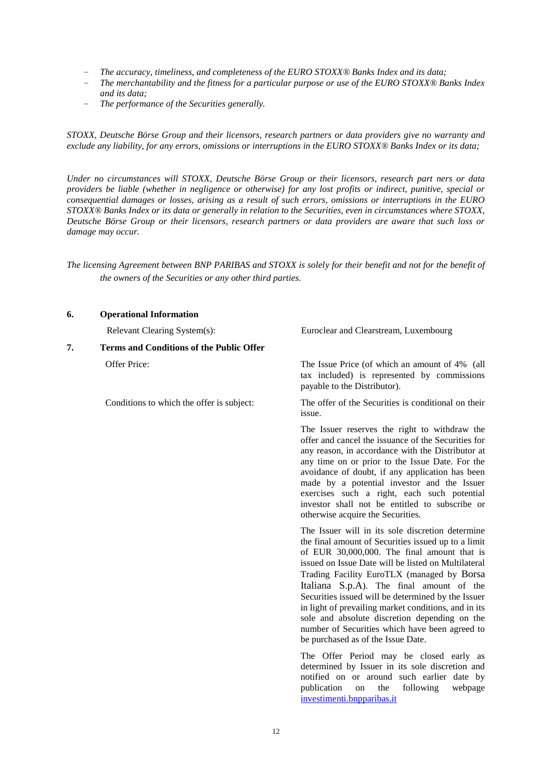- *The accuracy, timeliness, and completeness of the EURO STOXX® Banks Index and its data;*
- *The merchantability and the fitness for a particular purpose or use of the EURO STOXX® Banks Index and its data;*
- *The performance of the Securities generally.*

*STOXX, Deutsche Börse Group and their licensors, research partners or data providers give no warranty and exclude any liability, for any errors, omissions or interruptions in the EURO STOXX® Banks Index or its data;*

*Under no circumstances will STOXX, Deutsche Börse Group or their licensors, research part ners or data providers be liable (whether in negligence or otherwise) for any lost profits or indirect, punitive, special or consequential damages or losses, arising as a result of such errors, omissions or interruptions in the EURO STOXX® Banks Index or its data or generally in relation to the Securities, even in circumstances where STOXX, Deutsche Börse Group or their licensors, research partners or data providers are aware that such loss or damage may occur.*

*The licensing Agreement between BNP PARIBAS and STOXX is solely for their benefit and not for the benefit of the owners of the Securities or any other third parties.*

## **6. Operational Information**

**7. Terms and Conditions of the Public Offer**

Relevant Clearing System(s): Euroclear and Clearstream, Luxembourg

Offer Price: The Issue Price (of which an amount of 4% (all tax included) is represented by commissions payable to the Distributor).

Conditions to which the offer is subject: The offer of the Securities is conditional on their issue.

> The Issuer reserves the right to withdraw the offer and cancel the issuance of the Securities for any reason, in accordance with the Distributor at any time on or prior to the Issue Date. For the avoidance of doubt, if any application has been made by a potential investor and the Issuer exercises such a right, each such potential investor shall not be entitled to subscribe or otherwise acquire the Securities.

> The Issuer will in its sole discretion determine the final amount of Securities issued up to a limit of EUR 30,000,000. The final amount that is issued on Issue Date will be listed on Multilateral Trading Facility EuroTLX (managed by Borsa Italiana S.p.A). The final amount of the Securities issued will be determined by the Issuer in light of prevailing market conditions, and in its sole and absolute discretion depending on the number of Securities which have been agreed to be purchased as of the Issue Date.

> The Offer Period may be closed early as determined by Issuer in its sole discretion and notified on or around such earlier date by publication on the following webpage investimenti.bnpparibas.it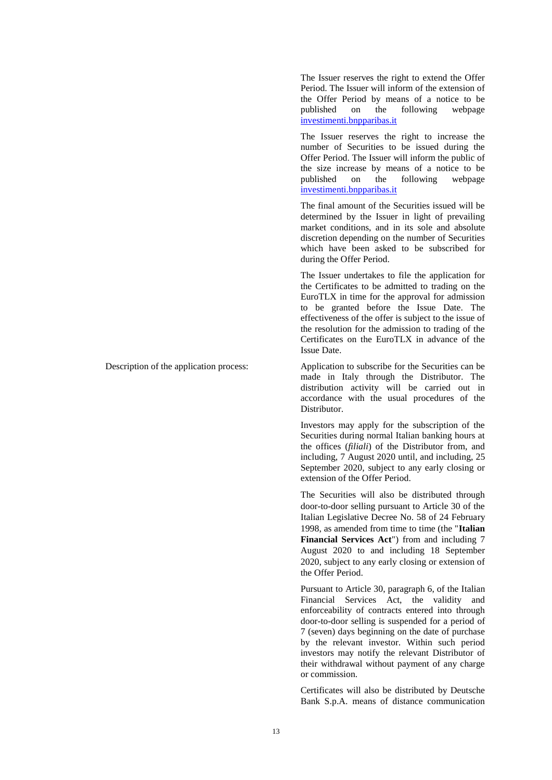The Issuer reserves the right to extend the Offer Period. The Issuer will inform of the extension of the Offer Period by means of a notice to be published on the following webpage investimenti.bnpparibas.it

The Issuer reserves the right to increase the number of Securities to be issued during the Offer Period. The Issuer will inform the public of the size increase by means of a notice to be published on the following webpage investimenti.bnpparibas.it

The final amount of the Securities issued will be determined by the Issuer in light of prevailing market conditions, and in its sole and absolute discretion depending on the number of Securities which have been asked to be subscribed for during the Offer Period.

The Issuer undertakes to file the application for the Certificates to be admitted to trading on the EuroTLX in time for the approval for admission to be granted before the Issue Date. The effectiveness of the offer is subject to the issue of the resolution for the admission to trading of the Certificates on the EuroTLX in advance of the Issue Date.

Description of the application process: Application to subscribe for the Securities can be made in Italy through the Distributor. The distribution activity will be carried out in accordance with the usual procedures of the Distributor.

> Investors may apply for the subscription of the Securities during normal Italian banking hours at the offices (*filiali*) of the Distributor from, and including, 7 August 2020 until, and including, 25 September 2020, subject to any early closing or extension of the Offer Period.

> The Securities will also be distributed through door-to-door selling pursuant to Article 30 of the Italian Legislative Decree No. 58 of 24 February 1998, as amended from time to time (the "**Italian Financial Services Act**") from and including 7 August 2020 to and including 18 September 2020, subject to any early closing or extension of the Offer Period.

> Pursuant to Article 30, paragraph 6, of the Italian Financial Services Act, the validity and enforceability of contracts entered into through door-to-door selling is suspended for a period of 7 (seven) days beginning on the date of purchase by the relevant investor. Within such period investors may notify the relevant Distributor of their withdrawal without payment of any charge or commission.

> Certificates will also be distributed by Deutsche Bank S.p.A. means of distance communication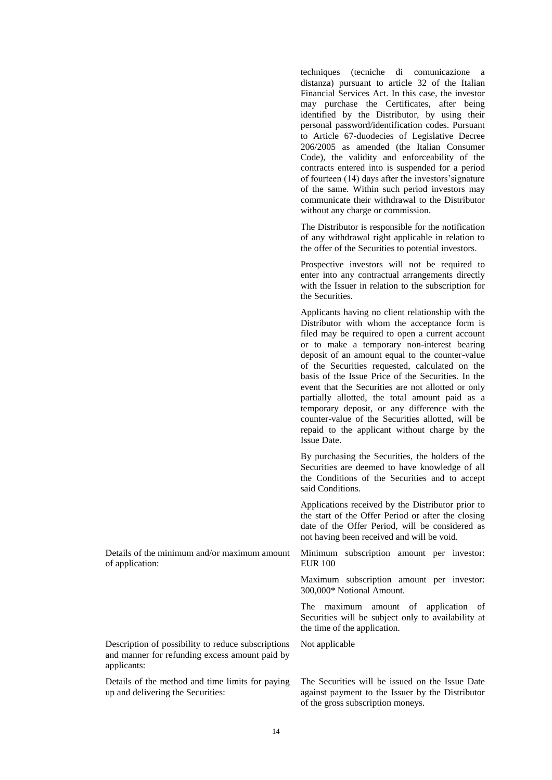techniques (tecniche di comunicazione a distanza) pursuant to article 32 of the Italian Financial Services Act. In this case, the investor may purchase the Certificates, after being identified by the Distributor, by using their personal password/identification codes. Pursuant to Article 67-duodecies of Legislative Decree 206/2005 as amended (the Italian Consumer Code), the validity and enforceability of the contracts entered into is suspended for a period of fourteen (14) days after the investors'signature of the same. Within such period investors may communicate their withdrawal to the Distributor without any charge or commission.

The Distributor is responsible for the notification of any withdrawal right applicable in relation to the offer of the Securities to potential investors.

Prospective investors will not be required to enter into any contractual arrangements directly with the Issuer in relation to the subscription for the Securities.

Applicants having no client relationship with the Distributor with whom the acceptance form is filed may be required to open a current account or to make a temporary non-interest bearing deposit of an amount equal to the counter-value of the Securities requested, calculated on the basis of the Issue Price of the Securities. In the event that the Securities are not allotted or only partially allotted, the total amount paid as a temporary deposit, or any difference with the counter-value of the Securities allotted, will be repaid to the applicant without charge by the Issue Date.

By purchasing the Securities, the holders of the Securities are deemed to have knowledge of all the Conditions of the Securities and to accept said Conditions.

Applications received by the Distributor prior to the start of the Offer Period or after the closing date of the Offer Period, will be considered as not having been received and will be void.

Minimum subscription amount per investor: EUR 100

Maximum subscription amount per investor: 300,000\* Notional Amount.

The maximum amount of application of Securities will be subject only to availability at the time of the application.

Not applicable

Description of possibility to reduce subscriptions and manner for refunding excess amount paid by applicants:

Details of the minimum and/or maximum amount

of application:

Details of the method and time limits for paying up and delivering the Securities:

The Securities will be issued on the Issue Date against payment to the Issuer by the Distributor of the gross subscription moneys.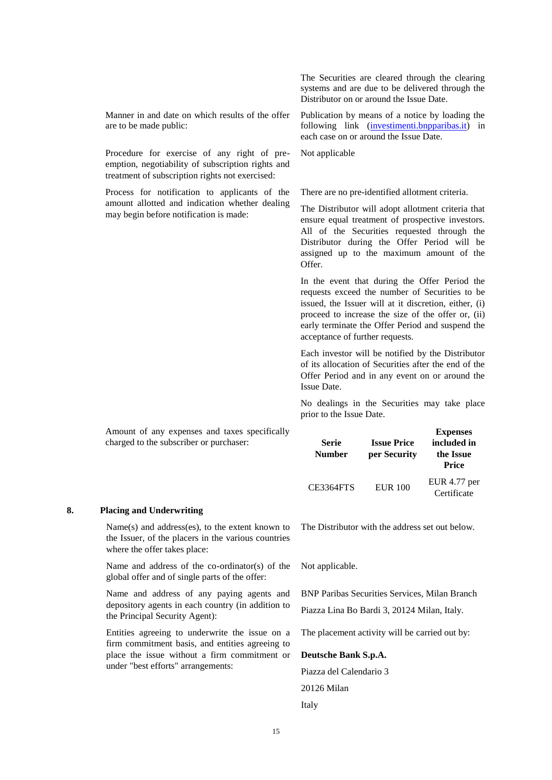Manner in and date on which results of the offer are to be made public:

Procedure for exercise of any right of preemption, negotiability of subscription rights and treatment of subscription rights not exercised:

Process for notification to applicants of the amount allotted and indication whether dealing may begin before notification is made:

The Securities are cleared through the clearing systems and are due to be delivered through the Distributor on or around the Issue Date.

Publication by means of a notice by loading the following link (investimenti.bnpparibas.it) in each case on or around the Issue Date.

Not applicable

There are no pre-identified allotment criteria.

The Distributor will adopt allotment criteria that ensure equal treatment of prospective investors. All of the Securities requested through the Distributor during the Offer Period will be assigned up to the maximum amount of the Offer.

In the event that during the Offer Period the requests exceed the number of Securities to be issued, the Issuer will at it discretion, either, (i) proceed to increase the size of the offer or, (ii) early terminate the Offer Period and suspend the acceptance of further requests.

Each investor will be notified by the Distributor of its allocation of Securities after the end of the Offer Period and in any event on or around the Issue Date.

No dealings in the Securities may take place prior to the Issue Date.

| Amount of any expenses and taxes specifically<br>charged to the subscriber or purchaser: | <b>Serie</b><br><b>Number</b> | <b>Issue Price</b><br>per Security | <b>Expenses</b><br>included in<br>the Issue<br>Price |
|------------------------------------------------------------------------------------------|-------------------------------|------------------------------------|------------------------------------------------------|
|                                                                                          | CE3364FTS                     | <b>EUR 100</b>                     | EUR $4.77$ per<br>Certificate                        |

## **8. Placing and Underwriting**

Name(s) and address(es), to the extent known to the Issuer, of the placers in the various countries where the offer takes place:

Name and address of the co-ordinator(s) of the global offer and of single parts of the offer:

Name and address of any paying agents and depository agents in each country (in addition to the Principal Security Agent):

Entities agreeing to underwrite the issue on a firm commitment basis, and entities agreeing to place the issue without a firm commitment or under "best efforts" arrangements:

The Distributor with the address set out below.

Not applicable.

BNP Paribas Securities Services, Milan Branch Piazza Lina Bo Bardi 3, 20124 Milan, Italy.

The placement activity will be carried out by:

# **Deutsche Bank S.p.A.**

Piazza del Calendario 3 20126 Milan

Italy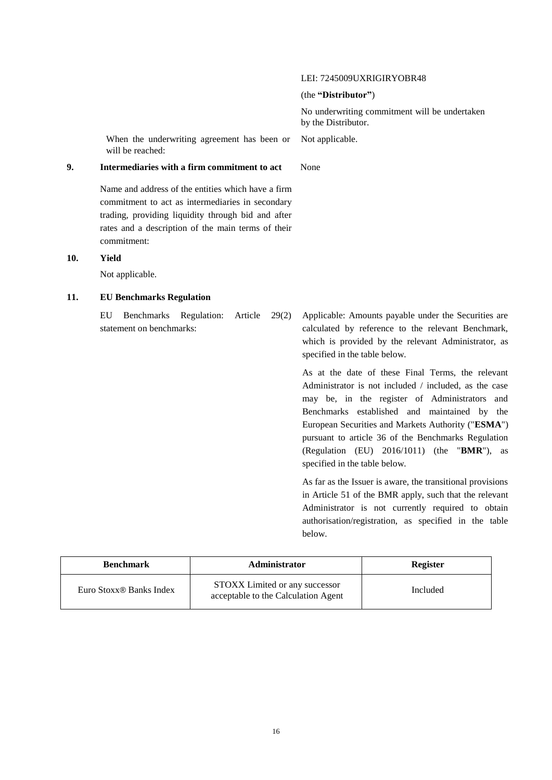## LEI: 7245009UXRIGIRYOBR48

## (the **"Distributor"**)

No underwriting commitment will be undertaken by the Distributor.

Not applicable.

When the underwriting agreement has been or will be reached:

# **9. Intermediaries with a firm commitment to act** None

Name and address of the entities which have a firm commitment to act as intermediaries in secondary trading, providing liquidity through bid and after rates and a description of the main terms of their commitment:

# **10. Yield**

Not applicable.

## **11. EU Benchmarks Regulation**

EU Benchmarks Regulation: Article 29(2) statement on benchmarks:

Applicable: Amounts payable under the Securities are calculated by reference to the relevant Benchmark, which is provided by the relevant Administrator, as specified in the table below.

As at the date of these Final Terms, the relevant Administrator is not included / included, as the case may be, in the register of Administrators and Benchmarks established and maintained by the European Securities and Markets Authority ("**ESMA**") pursuant to article 36 of the Benchmarks Regulation (Regulation (EU) 2016/1011) (the "**BMR**"), as specified in the table below.

As far as the Issuer is aware, the transitional provisions in Article 51 of the BMR apply, such that the relevant Administrator is not currently required to obtain authorisation/registration, as specified in the table below.

| <b>Benchmark</b>                    | Administrator                                                         | Register |
|-------------------------------------|-----------------------------------------------------------------------|----------|
| Euro Stoxx <sup>®</sup> Banks Index | STOXX Limited or any successor<br>acceptable to the Calculation Agent | Included |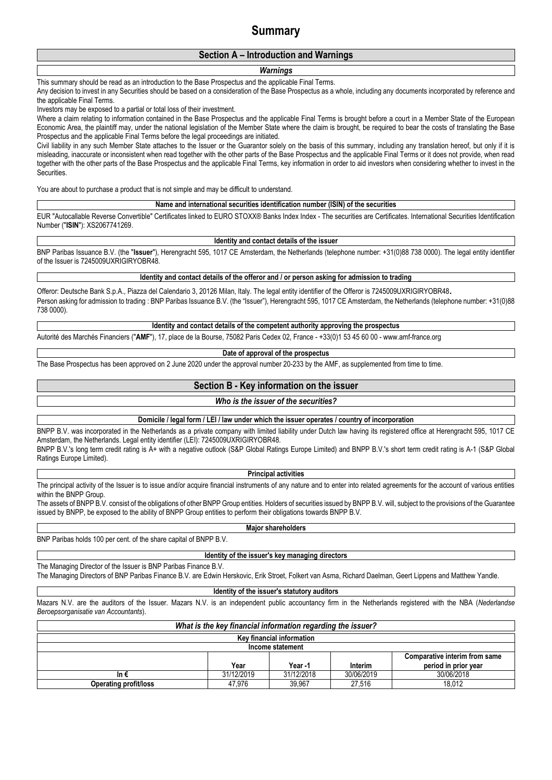# **Summary**

# **Section A – Introduction and Warnings**

## *Warnings*

This summary should be read as an introduction to the Base Prospectus and the applicable Final Terms.

Any decision to invest in any Securities should be based on a consideration of the Base Prospectus as a whole, including any documents incorporated by reference and the applicable Final Terms.

Investors may be exposed to a partial or total loss of their investment.

Where a claim relating to information contained in the Base Prospectus and the applicable Final Terms is brought before a court in a Member State of the European Economic Area, the plaintiff may, under the national legislation of the Member State where the claim is brought, be required to bear the costs of translating the Base Prospectus and the applicable Final Terms before the legal proceedings are initiated.

Civil liability in any such Member State attaches to the Issuer or the Guarantor solely on the basis of this summary, including any translation hereof, but only if it is misleading, inaccurate or inconsistent when read together with the other parts of the Base Prospectus and the applicable Final Terms or it does not provide, when read together with the other parts of the Base Prospectus and the applicable Final Terms, key information in order to aid investors when considering whether to invest in the Securities.

You are about to purchase a product that is not simple and may be difficult to understand.

## **Name and international securities identification number (ISIN) of the securities**

EUR "Autocallable Reverse Convertible" Certificates linked to EURO STOXX® Banks Index Index - The securities are Certificates. International Securities Identification Number ("**ISIN**"): XS2067741269.

## **Identity and contact details of the issuer**

BNP Paribas Issuance B.V. (the "**Issuer**"), Herengracht 595, 1017 CE Amsterdam, the Netherlands (telephone number: +31(0)88 738 0000). The legal entity identifier of the Issuer is 7245009UXRIGIRYOBR48.

**Identity and contact details of the offeror and / or person asking for admission to trading**

Offeror: Deutsche Bank S.p.A., Piazza del Calendario 3, 20126 Milan, Italy. The legal entity identifier of the Offeror is 7245009UXRIGIRYOBR48. Person asking for admission to trading : BNP Paribas Issuance B.V. (the "Issuer"), Herengracht 595, 1017 CE Amsterdam, the Netherlands (telephone number: +31(0)88 738 0000).

## **Identity and contact details of the competent authority approving the prospectus**

Autorité des Marchés Financiers ("**AMF**"), 17, place de la Bourse, 75082 Paris Cedex 02, France - +33(0)1 53 45 60 00 - www.amf-france.org

## **Date of approval of the prospectus**

The Base Prospectus has been approved on 2 June 2020 under the approval number 20-233 by the AMF, as supplemented from time to time.

# **Section B - Key information on the issuer**

# *Who is the issuer of the securities?*

**Domicile / legal form / LEI / law under which the issuer operates / country of incorporation**

BNPP B.V. was incorporated in the Netherlands as a private company with limited liability under Dutch law having its registered office at Herengracht 595, 1017 CE Amsterdam, the Netherlands. Legal entity identifier (LEI): 7245009UXRIGIRYOBR48. BNPP B.V.'s long term credit rating is A+ with a negative outlook (S&P Global Ratings Europe Limited) and BNPP B.V.'s short term credit rating is A-1 (S&P Global Ratings Europe Limited).

## **Principal activities**

The principal activity of the Issuer is to issue and/or acquire financial instruments of any nature and to enter into related agreements for the account of various entities within the BNPP Group.

The assets of BNPP B.V. consist of the obligations of other BNPP Group entities. Holders of securities issued by BNPP B.V. will, subject to the provisions of the Guarantee issued by BNPP, be exposed to the ability of BNPP Group entities to perform their obligations towards BNPP B.V.

## **Major shareholders**

BNP Paribas holds 100 per cent. of the share capital of BNPP B.V.

## **Identity of the issuer's key managing directors**

The Managing Director of the Issuer is BNP Paribas Finance B.V.

The Managing Directors of BNP Paribas Finance B.V. are Edwin Herskovic, Erik Stroet, Folkert van Asma, Richard Daelman, Geert Lippens and Matthew Yandle.

## **Identity of the issuer's statutory auditors**

Mazars N.V. are the auditors of the Issuer. Mazars N.V. is an independent public accountancy firm in the Netherlands registered with the NBA (*Nederlandse Beroepsorganisatie van Accountants*).

| What is the key financial information regarding the issuer? |                                      |        |        |        |  |  |
|-------------------------------------------------------------|--------------------------------------|--------|--------|--------|--|--|
| <b>Key financial information</b>                            |                                      |        |        |        |  |  |
|                                                             | Income statement                     |        |        |        |  |  |
|                                                             | <b>Comparative interim from same</b> |        |        |        |  |  |
| period in prior year<br>Year -1<br>Interim<br>Year          |                                      |        |        |        |  |  |
| 30/06/2019<br>30/06/2018<br>31/12/2019<br>31/12/2018<br>In€ |                                      |        |        |        |  |  |
| <b>Operating profit/loss</b>                                | 47.976                               | 39.967 | 27.516 | 18,012 |  |  |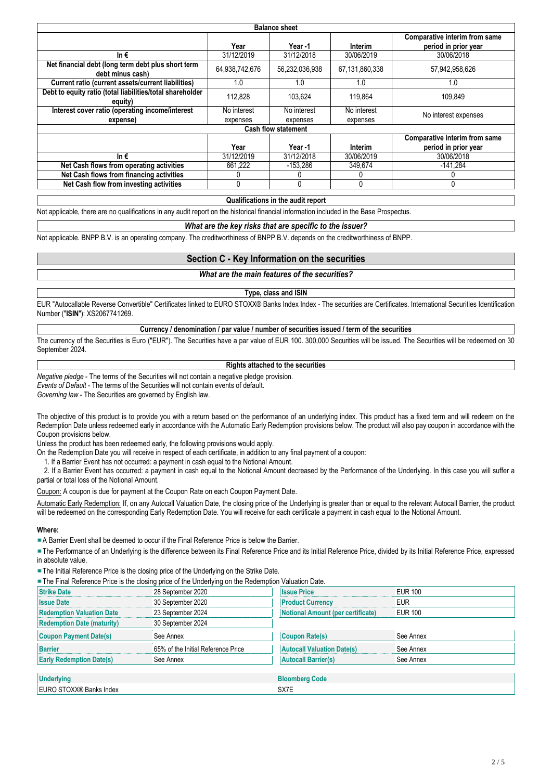|                                                                        |                | <b>Balance sheet</b>       |                |                                                       |
|------------------------------------------------------------------------|----------------|----------------------------|----------------|-------------------------------------------------------|
|                                                                        | Year           | Year -1                    | Interim        | Comparative interim from same<br>period in prior year |
| In $\epsilon$                                                          | 31/12/2019     | 31/12/2018                 | 30/06/2019     | 30/06/2018                                            |
| Net financial debt (long term debt plus short term<br>debt minus cash) | 64,938,742,676 | 56,232,036,938             | 67,131,860,338 | 57,942,958,626                                        |
| Current ratio (current assets/current liabilities)                     | 1.0            | 1.0                        | 1.0            | 1.0                                                   |
| Debt to equity ratio (total liabilities/total shareholder<br>equity)   | 112,828        | 103.624                    | 119.864        | 109,849                                               |
| Interest cover ratio (operating income/interest                        | No interest    | No interest                | No interest    | No interest expenses                                  |
| expense)                                                               | expenses       | expenses                   | expenses       |                                                       |
|                                                                        |                | <b>Cash flow statement</b> |                |                                                       |
|                                                                        | Year           | Year -1                    | Interim        | Comparative interim from same<br>period in prior year |
| In€                                                                    | 31/12/2019     | 31/12/2018                 | 30/06/2019     | 30/06/2018                                            |
| Net Cash flows from operating activities                               | 661,222        | $-153.286$                 | 349,674        | $-141.284$                                            |
| Net Cash flows from financing activities                               | 0              |                            | 0              |                                                       |
| Net Cash flow from investing activities                                | 0              |                            | 0              |                                                       |

## **Qualifications in the audit report**

Not applicable, there are no qualifications in any audit report on the historical financial information included in the Base Prospectus.

#### *What are the key risks that are specific to the issuer?*

Not applicable. BNPP B.V. is an operating company. The creditworthiness of BNPP B.V. depends on the creditworthiness of BNPP.

## **Section C - Key Information on the securities**

#### *What are the main features of the securities?*

**Type, class and ISIN**

EUR "Autocallable Reverse Convertible" Certificates linked to EURO STOXX® Banks Index Index - The securities are Certificates. International Securities Identification Number ("**ISIN**"): XS2067741269.

## **Currency / denomination / par value / number of securities issued / term of the securities**

The currency of the Securities is Euro ("EUR"). The Securities have a par value of EUR 100. 300,000 Securities will be issued. The Securities will be redeemed on 30 September 2024.

#### **Rights attached to the securities**

*Negative pledge* - The terms of the Securities will not contain a negative pledge provision.

*Events of Default* - The terms of the Securities will not contain events of default.

*Governing law* - The Securities are governed by English law.

The objective of this product is to provide you with a return based on the performance of an underlying index. This product has a fixed term and will redeem on the Redemption Date unless redeemed early in accordance with the Automatic Early Redemption provisions below. The product will also pay coupon in accordance with the Coupon provisions below.

Unless the product has been redeemed early, the following provisions would apply.

On the Redemption Date you will receive in respect of each certificate, in addition to any final payment of a coupon:

1. If a Barrier Event has not occurred: a payment in cash equal to the Notional Amount.

 2. If a Barrier Event has occurred: a payment in cash equal to the Notional Amount decreased by the Performance of the Underlying. In this case you will suffer a partial or total loss of the Notional Amount.

Coupon: A coupon is due for payment at the Coupon Rate on each Coupon Payment Date.

Automatic Early Redemption: If, on any Autocall Valuation Date, the closing price of the Underlying is greater than or equal to the relevant Autocall Barrier, the product will be redeemed on the corresponding Early Redemption Date. You will receive for each certificate a payment in cash equal to the Notional Amount.

#### **Where:**

A Barrier Event shall be deemed to occur if the Final Reference Price is below the Barrier.

The Performance of an Underlying is the difference between its Final Reference Price and its Initial Reference Price, divided by its Initial Reference Price, expressed in absolute value.

The Initial Reference Price is the closing price of the Underlying on the Strike Date.

| . The Final Reference Price is the closing price of the Underlying on the Redemption Valuation Date. |  |  |  |
|------------------------------------------------------------------------------------------------------|--|--|--|
|------------------------------------------------------------------------------------------------------|--|--|--|

| <b>Strike Date</b>                | 28 September 2020                  | <b>Issue Price</b>                | <b>EUR 100</b> |
|-----------------------------------|------------------------------------|-----------------------------------|----------------|
| <b>Issue Date</b>                 | 30 September 2020                  | <b>Product Currency</b>           | <b>EUR</b>     |
| <b>Redemption Valuation Date</b>  | 23 September 2024                  | Notional Amount (per certificate) | <b>EUR 100</b> |
| <b>Redemption Date (maturity)</b> | 30 September 2024                  |                                   |                |
| <b>Coupon Payment Date(s)</b>     | See Annex                          | <b>Coupon Rate(s)</b>             | See Annex      |
| <b>Barrier</b>                    | 65% of the Initial Reference Price | <b>Autocall Valuation Date(s)</b> | See Annex      |
| <b>Early Redemption Date(s)</b>   | See Annex                          | <b>Autocall Barrier(s)</b>        | See Annex      |
|                                   |                                    |                                   |                |
| <b>Underlying</b>                 |                                    | <b>Bloomberg Code</b>             |                |

EURO STOXX® Banks Index SX7E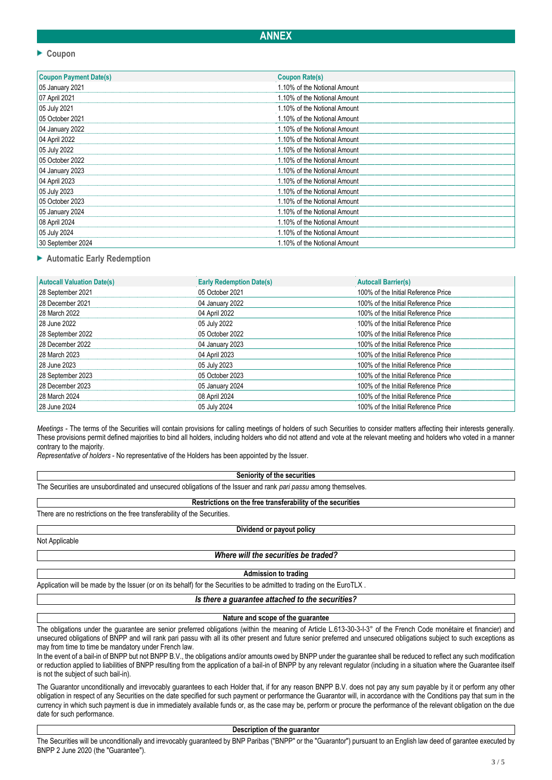# **ANNEX**

## **Coupon**

| <b>Coupon Payment Date(s)</b> | <b>Coupon Rate(s)</b>        |
|-------------------------------|------------------------------|
| 05 January 2021               | 1.10% of the Notional Amount |
| 07 April 2021                 | 1.10% of the Notional Amount |
| 05 July 2021                  | 1.10% of the Notional Amount |
| 05 October 2021               | 1.10% of the Notional Amount |
| 04 January 2022               | 1.10% of the Notional Amount |
| 04 April 2022                 | 1.10% of the Notional Amount |
| 05 July 2022                  | 1.10% of the Notional Amount |
| 05 October 2022               | 1.10% of the Notional Amount |
| 04 January 2023               | 1.10% of the Notional Amount |
| 04 April 2023                 | 1.10% of the Notional Amount |
| 05 July 2023                  | 1.10% of the Notional Amount |
| 05 October 2023               | 1.10% of the Notional Amount |
| 05 January 2024               | 1.10% of the Notional Amount |
| 08 April 2024                 | 1.10% of the Notional Amount |
| 05 July 2024                  | 1.10% of the Notional Amount |
| 30 September 2024             | 1.10% of the Notional Amount |

## **Automatic Early Redemption**

| <b>Autocall Valuation Date(s)</b> | <b>Early Redemption Date(s)</b> | <b>Autocall Barrier(s)</b>          |
|-----------------------------------|---------------------------------|-------------------------------------|
| 28 September 2021                 | 05 October 2021                 | 100% of the Initial Reference Price |
| 28 December 2021                  | 04 January 2022                 | 100% of the Initial Reference Price |
| 28 March 2022                     | 04 April 2022                   | 100% of the Initial Reference Price |
| 28 June 2022                      | 05 July 2022                    | 100% of the Initial Reference Price |
| 28 September 2022                 | 05 October 2022                 | 100% of the Initial Reference Price |
| 28 December 2022                  | 04 January 2023                 | 100% of the Initial Reference Price |
| 28 March 2023                     | 04 April 2023                   | 100% of the Initial Reference Price |
| 28 June 2023                      | 05 July 2023                    | 100% of the Initial Reference Price |
| 28 September 2023                 | 05 October 2023                 | 100% of the Initial Reference Price |
| 28 December 2023                  | 05 January 2024                 | 100% of the Initial Reference Price |
| 28 March 2024                     | 08 April 2024                   | 100% of the Initial Reference Price |
| 28 June 2024                      | 05 July 2024                    | 100% of the Initial Reference Price |

*Meetings* - The terms of the Securities will contain provisions for calling meetings of holders of such Securities to consider matters affecting their interests generally. These provisions permit defined majorities to bind all holders, including holders who did not attend and vote at the relevant meeting and holders who voted in a manner contrary to the majority.

*Representative of holders* - No representative of the Holders has been appointed by the Issuer.

#### **Seniority of the securities**

The Securities are unsubordinated and unsecured obligations of the Issuer and rank *pari passu* among themselves.

# **Restrictions on the free transferability of the securities**

There are no restrictions on the free transferability of the Securities.

#### **Dividend or payout policy**

Not Applicable

## *Where will the securities be traded?*

**Admission to trading**

Application will be made by the Issuer (or on its behalf) for the Securities to be admitted to trading on the EuroTLX.

#### *Is there a guarantee attached to the securities?*

#### **Nature and scope of the guarantee**

The obligations under the quarantee are senior preferred obligations (within the meaning of Article L.613-30-3-I-3° of the French Code monétaire et financier) and unsecured obligations of BNPP and will rank pari passu with all its other present and future senior preferred and unsecured obligations subject to such exceptions as may from time to time be mandatory under French law.

In the event of a bail-in of BNPP but not BNPP B.V., the obligations and/or amounts owed by BNPP under the guarantee shall be reduced to reflect any such modification or reduction applied to liabilities of BNPP resulting from the application of a bail-in of BNPP by any relevant regulator (including in a situation where the Guarantee itself is not the subject of such bail-in).

The Guarantor unconditionally and irrevocably guarantees to each Holder that, if for any reason BNPP B.V. does not pay any sum payable by it or perform any other obligation in respect of any Securities on the date specified for such payment or performance the Guarantor will, in accordance with the Conditions pay that sum in the currency in which such payment is due in immediately available funds or, as the case may be, perform or procure the performance of the relevant obligation on the due date for such performance.

**Description of the guarantor**

The Securities will be unconditionally and irrevocably guaranteed by BNP Paribas ("BNPP" or the "Guarantor") pursuant to an English law deed of garantee executed by BNPP 2 June 2020 (the "Guarantee").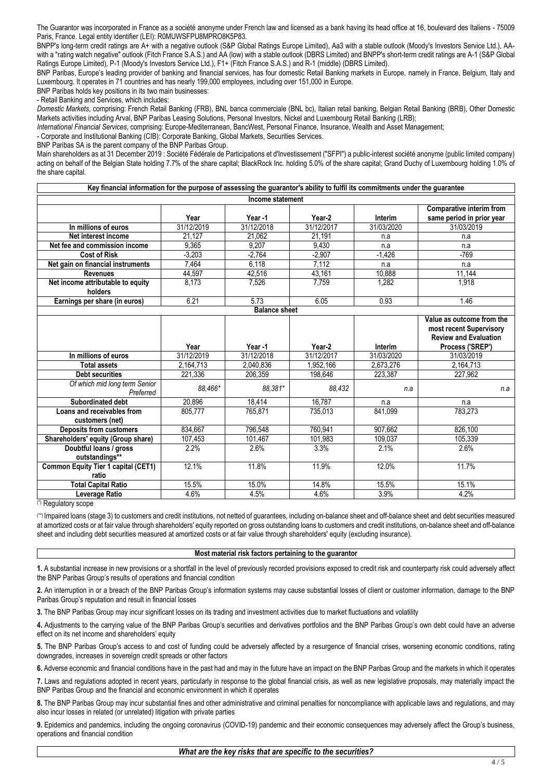The Guarantor was incorporated in France as a société anonyme under French law and licensed as a bank having its head office at 16, boulevard des Italiens - 75009 Paris, France. Legal entity identifier (LEI): R0MUWSFPU8MPRO8K5P83.

BNPP's long-term credit ratings are A+ with a negative outlook (S&P Global Ratings Europe Limited), Aa3 with a stable outlook (Moody's Investors Service Ltd.), AAwith a "rating watch negative" outlook (Fitch France S.A.S.) and AA (low) with a stable outlook (DBRS Limited) and BNPP's short-term credit ratings are A-1 (S&P Global Ratings Europe Limited), P-1 (Moody's Investors Service Ltd.), F1+ (Fitch France S.A.S.) and R-1 (middle) (DBRS Limited).

BNP Paribas, Europe's leading provider of banking and financial services, has four domestic Retail Banking markets in Europe, namely in France, Belgium, Italy and Luxembourg. It operates in 71 countries and has nearly 199,000 employees, including over 151,000 in Europe.

BNP Paribas holds key positions in its two main businesses:

- Retail Banking and Services, which includes:

*Domestic Markets*, comprising: French Retail Banking (FRB), BNL banca commerciale (BNL bc), Italian retail banking, Belgian Retail Banking (BRB), Other Domestic Markets activities including Arval, BNP Paribas Leasing Solutions, Personal Investors, Nickel and Luxembourg Retail Banking (LRB);

*International Financial Services*, comprising: Europe-Mediterranean, BancWest, Personal Finance, Insurance, Wealth and Asset Management;

- Corporate and Institutional Banking (CIB): Corporate Banking, Global Markets, Securities Services.

BNP Paribas SA is the parent company of the BNP Paribas Group.

Main shareholders as at 31 December 2019 : Société Fédérale de Participations et d'Investissement ("SFPI") a public-interest société anonyme (public limited company) acting on behalf of the Belgian State holding 7.7% of the share capital; BlackRock Inc. holding 5.0% of the share capital; Grand Duchy of Luxembourg holding 1.0% of the share capital.

| Key financial information for the purpose of assessing the guarantor's ability to fulfil its commitments under the guarantee |               |                      |               |               |                                                                                      |
|------------------------------------------------------------------------------------------------------------------------------|---------------|----------------------|---------------|---------------|--------------------------------------------------------------------------------------|
| Income statement                                                                                                             |               |                      |               |               |                                                                                      |
|                                                                                                                              |               |                      |               |               | <b>Comparative interim from</b>                                                      |
|                                                                                                                              | Year          | Year -1              | Year-2        | Interim       | same period in prior year                                                            |
| In millions of euros                                                                                                         | 31/12/2019    | 31/12/2018           | 31/12/2017    | 31/03/2020    | 31/03/2019                                                                           |
| Net interest income                                                                                                          | 21,127        | 21,062               | 21,191        | n.a           | n.a                                                                                  |
| Net fee and commission income                                                                                                | 9.365         | 9.207                | 9.430         | n.a           | n.a                                                                                  |
| <b>Cost of Risk</b>                                                                                                          | $-3,203$      | $-2.764$             | $-2,907$      | $-1,426$      | $-769$                                                                               |
| Net gain on financial instruments                                                                                            | 7.464         | 6,118                | 7,112         | n.a           | n.a                                                                                  |
| <b>Revenues</b>                                                                                                              | 44,597        | 42,516               | 43, 161       | 10,888        | 11,144                                                                               |
| Net income attributable to equity                                                                                            | 8,173         | 7,526                | 7,759         | 1,282         | 1,918                                                                                |
| holders                                                                                                                      |               |                      |               |               |                                                                                      |
| Earnings per share (in euros)                                                                                                | 6.21          | 5.73                 | 6.05          | 0.93          | 1.46                                                                                 |
|                                                                                                                              |               | <b>Balance sheet</b> |               |               |                                                                                      |
|                                                                                                                              |               |                      |               |               | Value as outcome from the<br>most recent Supervisory<br><b>Review and Evaluation</b> |
|                                                                                                                              |               |                      |               |               |                                                                                      |
|                                                                                                                              | Year          | Year-1               | Year-2        | Interim       | Process ('SREP')                                                                     |
| In millions of euros                                                                                                         | 31/12/2019    | 31/12/2018           | 31/12/2017    | 31/03/2020    | 31/03/2019                                                                           |
| <b>Total assets</b>                                                                                                          | 2,164,713     | 2,040,836            | 1,952,166     | 2,673,276     | 2,164,713                                                                            |
| <b>Debt securities</b>                                                                                                       | 221,336       | 206,359              | 198,646       | 223,387       | 227,962                                                                              |
| Of which mid long term Senior<br>Preferred                                                                                   | 88.466*       | 88,381*              | 88,432        | n.a           | n.a                                                                                  |
| Subordinated debt                                                                                                            | 20,896        | 18.414               | 16,787        | n.a           | n.a                                                                                  |
| Loans and receivables from                                                                                                   | 805,777       | 765,871              | 735,013       | 841,099       | 783,273                                                                              |
| customers (net)                                                                                                              |               |                      |               |               |                                                                                      |
| <b>Deposits from customers</b>                                                                                               | 834,667       | 796,548              | 760,941       | 907,662       | 826,100                                                                              |
| Shareholders' equity (Group share)                                                                                           | 107,453       | 101,467              | 101,983       | 109,037       | 105.339                                                                              |
| Doubtful loans / gross                                                                                                       | 2.2%          | 2.6%                 | 3.3%          | 2.1%          | 2.6%                                                                                 |
| outstandings**                                                                                                               |               |                      |               |               |                                                                                      |
| <b>Common Equity Tier 1 capital (CET1)</b>                                                                                   | 12.1%         | 11.8%                | 11.9%         | 12.0%         | 11.7%                                                                                |
| ratio                                                                                                                        |               |                      |               |               |                                                                                      |
| <b>Total Capital Ratio</b><br>Leverage Ratio                                                                                 | 15.5%<br>4.6% | 15.0%<br>4.5%        | 14.8%<br>4.6% | 15.5%<br>3.9% | 15.1%<br>4.2%                                                                        |

(\*) Regulatory scope

(\*\*) Impaired loans (stage 3) to customers and credit institutions, not netted of guarantees, including on-balance sheet and off-balance sheet and debt securities measured at amortized costs or at fair value through shareholders' equity reported on gross outstanding loans to customers and credit institutions, on-balance sheet and off-balance sheet and including debt securities measured at amortized costs or at fair value through shareholders' equity (excluding insurance).

## **Most material risk factors pertaining to the guarantor**

**1.** A substantial increase in new provisions or a shortfall in the level of previously recorded provisions exposed to credit risk and counterparty risk could adversely affect the BNP Paribas Group's results of operations and financial condition

**2.** An interruption in or a breach of the BNP Paribas Group's information systems may cause substantial losses of client or customer information, damage to the BNP Paribas Group's reputation and result in financial losses

**3.** The BNP Paribas Group may incur significant losses on its trading and investment activities due to market fluctuations and volatility

**4.** Adjustments to the carrying value of the BNP Paribas Group's securities and derivatives portfolios and the BNP Paribas Group's own debt could have an adverse effect on its net income and shareholders' equity

**5.** The BNP Paribas Group's access to and cost of funding could be adversely affected by a resurgence of financial crises, worsening economic conditions, rating downgrades, increases in sovereign credit spreads or other factors

**6.** Adverse economic and financial conditions have in the past had and may in the future have an impact on the BNP Paribas Group and the markets in which it operates

**7.** Laws and regulations adopted in recent years, particularly in response to the global financial crisis, as well as new legislative proposals, may materially impact the BNP Paribas Group and the financial and economic environment in which it operates

**8.** The BNP Paribas Group may incur substantial fines and other administrative and criminal penalties for noncompliance with applicable laws and regulations, and may also incur losses in related (or unrelated) litigation with private parties

**9.** Epidemics and pandemics, including the ongoing coronavirus (COVID-19) pandemic and their economic consequences may adversely affect the Group's business, operations and financial condition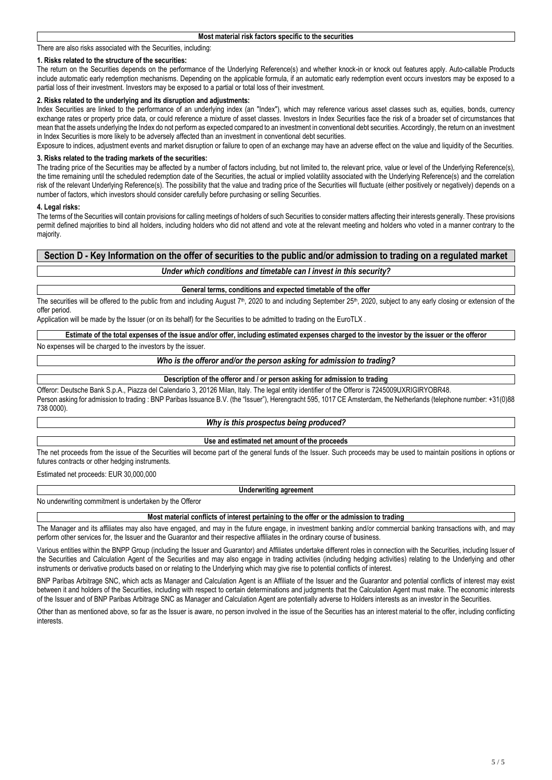#### There are also risks associated with the Securities, including:

#### **1. Risks related to the structure of the securities:**

The return on the Securities depends on the performance of the Underlying Reference(s) and whether knock-in or knock out features apply. Auto-callable Products include automatic early redemption mechanisms. Depending on the applicable formula, if an automatic early redemption event occurs investors may be exposed to a partial loss of their investment. Investors may be exposed to a partial or total loss of their investment.

## **2. Risks related to the underlying and its disruption and adjustments:**

Index Securities are linked to the performance of an underlying index (an "Index"), which may reference various asset classes such as, equities, bonds, currency exchange rates or property price data, or could reference a mixture of asset classes. Investors in Index Securities face the risk of a broader set of circumstances that mean that the assets underlying the Index do not perform as expected compared to an investment in conventional debt securities. Accordingly, the return on an investment in Index Securities is more likely to be adversely affected than an investment in conventional debt securities.

Exposure to indices, adjustment events and market disruption or failure to open of an exchange may have an adverse effect on the value and liquidity of the Securities.

## **3. Risks related to the trading markets of the securities:**

The trading price of the Securities may be affected by a number of factors including, but not limited to, the relevant price, value or level of the Underlying Reference(s), the time remaining until the scheduled redemption date of the Securities, the actual or implied volatility associated with the Underlying Reference(s) and the correlation risk of the relevant Underlying Reference(s). The possibility that the value and trading price of the Securities will fluctuate (either positively or negatively) depends on a number of factors, which investors should consider carefully before purchasing or selling Securities.

#### **4. Legal risks:**

The terms of the Securities will contain provisions for calling meetings of holders of such Securities to consider matters affecting their interests generally. These provisions permit defined majorities to bind all holders, including holders who did not attend and vote at the relevant meeting and holders who voted in a manner contrary to the majority.

# **Section D - Key Information on the offer of securities to the public and/or admission to trading on a regulated market**

## *Under which conditions and timetable can I invest in this security?*

**General terms, conditions and expected timetable of the offer**

The securities will be offered to the public from and including August  $7<sup>th</sup>$ , 2020 to and including September 25<sup>th</sup>, 2020, subject to any early closing or extension of the offer period.

Application will be made by the Issuer (or on its behalf) for the Securities to be admitted to trading on the EuroTLX .

**Estimate of the total expenses of the issue and/or offer, including estimated expenses charged to the investor by the issuer or the offeror**

No expenses will be charged to the investors by the issuer.

### *Who is the offeror and/or the person asking for admission to trading?*

#### **Description of the offeror and / or person asking for admission to trading**

Offeror: Deutsche Bank S.p.A., Piazza del Calendario 3, 20126 Milan, Italy. The legal entity identifier of the Offeror is 7245009UXRIGIRYOBR48. Person asking for admission to trading : BNP Paribas Issuance B.V. (the "Issuer"), Herengracht 595, 1017 CE Amsterdam, the Netherlands (telephone number: +31(0)88 738 0000).

#### *Why is this prospectus being produced?*

## **Use and estimated net amount of the proceeds**

The net proceeds from the issue of the Securities will become part of the general funds of the Issuer. Such proceeds may be used to maintain positions in options or futures contracts or other hedging instruments.

Estimated net proceeds: EUR 30,000,000

#### **Underwriting agreement**

No underwriting commitment is undertaken by the Offeror

#### **Most material conflicts of interest pertaining to the offer or the admission to trading**

The Manager and its affiliates may also have engaged, and may in the future engage, in investment banking and/or commercial banking transactions with, and may perform other services for, the Issuer and the Guarantor and their respective affiliates in the ordinary course of business.

Various entities within the BNPP Group (including the Issuer and Guarantor) and Affiliates undertake different roles in connection with the Securities, including Issuer of the Securities and Calculation Agent of the Securities and may also engage in trading activities (including hedging activities) relating to the Underlying and other instruments or derivative products based on or relating to the Underlying which may give rise to potential conflicts of interest.

BNP Paribas Arbitrage SNC, which acts as Manager and Calculation Agent is an Affiliate of the Issuer and the Guarantor and potential conflicts of interest may exist between it and holders of the Securities, including with respect to certain determinations and judgments that the Calculation Agent must make. The economic interests of the Issuer and of BNP Paribas Arbitrage SNC as Manager and Calculation Agent are potentially adverse to Holders interests as an investor in the Securities.

Other than as mentioned above, so far as the Issuer is aware, no person involved in the issue of the Securities has an interest material to the offer, including conflicting interests.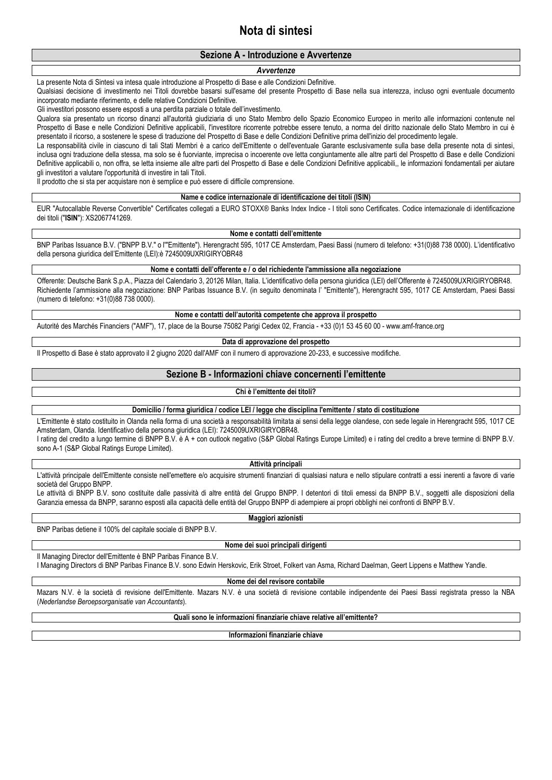# **Nota di sintesi**

# **Sezione A - Introduzione e Avvertenze**

#### *Avvertenze*

La presente Nota di Sintesi va intesa quale introduzione al Prospetto di Base e alle Condizioni Definitive.

Qualsiasi decisione di investimento nei Titoli dovrebbe basarsi sull'esame del presente Prospetto di Base nella sua interezza, incluso ogni eventuale documento incorporato mediante riferimento, e delle relative Condizioni Definitive.

Gli investitori possono essere esposti a una perdita parziale o totale dell'investimento.

Qualora sia presentato un ricorso dinanzi all'autorità giudiziaria di uno Stato Membro dello Spazio Economico Europeo in merito alle informazioni contenute nel Prospetto di Base e nelle Condizioni Definitive applicabili, l'investitore ricorrente potrebbe essere tenuto, a norma del diritto nazionale dello Stato Membro in cui è presentato il ricorso, a sostenere le spese di traduzione del Prospetto di Base e delle Condizioni Definitive prima dell'inizio del procedimento legale.

La responsabilità civile in ciascuno di tali Stati Membri è a carico dell'Emittente o dell'eventuale Garante esclusivamente sulla base della presente nota di sintesi, inclusa ogni traduzione della stessa, ma solo se è fuorviante, imprecisa o incoerente ove letta congiuntamente alle altre parti del Prospetto di Base e delle Condizioni Definitive applicabili o, non offra, se letta insieme alle altre parti del Prospetto di Base e delle Condizioni Definitive applicabili,, le informazioni fondamentali per aiutare gli investitori a valutare l'opportunità di investire in tali Titoli.

Il prodotto che si sta per acquistare non è semplice e può essere di difficile comprensione.

#### **Name e codice internazionale di identificazione dei titoli (ISIN)**

EUR "Autocallable Reverse Convertible" Certificates collegati a EURO STOXX® Banks Index Indice - I titoli sono Certificates. Codice internazionale di identificazione dei titoli ("**ISIN**"): XS2067741269.

#### **Nome e contatti dell'emittente**

BNP Paribas Issuance B.V. ("BNPP B.V." o l'"Emittente"). Herengracht 595, 1017 CE Amsterdam, Paesi Bassi (numero di telefono: +31(0)88 738 0000). L'identificativo della persona giuridica dell'Emittente (LEI):è 7245009UXRIGIRYOBR48

#### **Nome e contatti dell'offerente e / o del richiedente l'ammissione alla negoziazione**

Offerente: Deutsche Bank S.p.A., Piazza del Calendario 3, 20126 Milan, Italia. L'identificativo della persona giuridica (LEI) dell'Offerente è 7245009UXRIGIRYOBR48. Richiedente l'ammissione alla negoziazione: BNP Paribas Issuance B.V. (in seguito denominata l' "Emittente"), Herengracht 595, 1017 CE Amsterdam, Paesi Bassi (numero di telefono: +31(0)88 738 0000).

#### **Nome e contatti dell'autorità competente che approva il prospetto**

Autorité des Marchés Financiers ("AMF"), 17, place de la Bourse 75082 Parigi Cedex 02, Francia - +33 (0)1 53 45 60 00 - www.amf-france.org

#### **Data di approvazione del prospetto**

Il Prospetto di Base è stato approvato il 2 giugno 2020 dall'AMF con il numero di approvazione 20-233, e successive modifiche.

## **Sezione B - Informazioni chiave concernenti l'emittente**

## **Chi è l'emittente dei titoli?**

**Domicilio / forma giuridica / codice LEI / legge che disciplina l'emittente / stato di costituzione**

L'Emittente è stato costituito in Olanda nella forma di una società a responsabilità limitata ai sensi della legge olandese, con sede legale in Herengracht 595, 1017 CE Amsterdam, Olanda. Identificativo della persona giuridica (LEI): 7245009UXRIGIRYOBR48.

I rating del credito a lungo termine di BNPP B.V. è A + con outlook negativo (S&P Global Ratings Europe Limited) e i rating del credito a breve termine di BNPP B.V. sono A-1 (S&P Global Ratings Europe Limited).

#### **Attività principali**

L'attività principale dell'Emittente consiste nell'emettere e/o acquisire strumenti finanziari di qualsiasi natura e nello stipulare contratti a essi inerenti a favore di varie società del Gruppo BNPP.

Le attività di BNPP B.V. sono costituite dalle passività di altre entità del Gruppo BNPP. I detentori di titoli emessi da BNPP B.V., soggetti alle disposizioni della Garanzia emessa da BNPP, saranno esposti alla capacità delle entità del Gruppo BNPP di adempiere ai propri obblighi nei confronti di BNPP B.V.

**Maggiori azionisti**

BNP Paribas detiene il 100% del capitale sociale di BNPP B.V.

**Nome dei suoi principali dirigenti**

Il Managing Director dell'Emittente è BNP Paribas Finance B.V.

I Managing Directors di BNP Paribas Finance B.V. sono Edwin Herskovic, Erik Stroet, Folkert van Asma, Richard Daelman, Geert Lippens e Matthew Yandle.

#### **Nome dei del revisore contabile**

Mazars N.V. è la società di revisione dell'Emittente. Mazars N.V. è una società di revisione contabile indipendente dei Paesi Bassi registrata presso la NBA (*Nederlandse Beroepsorganisatie van Accountants*).

**Quali sono le informazioni finanziarie chiave relative all'emittente?**

**Informazioni finanziarie chiave**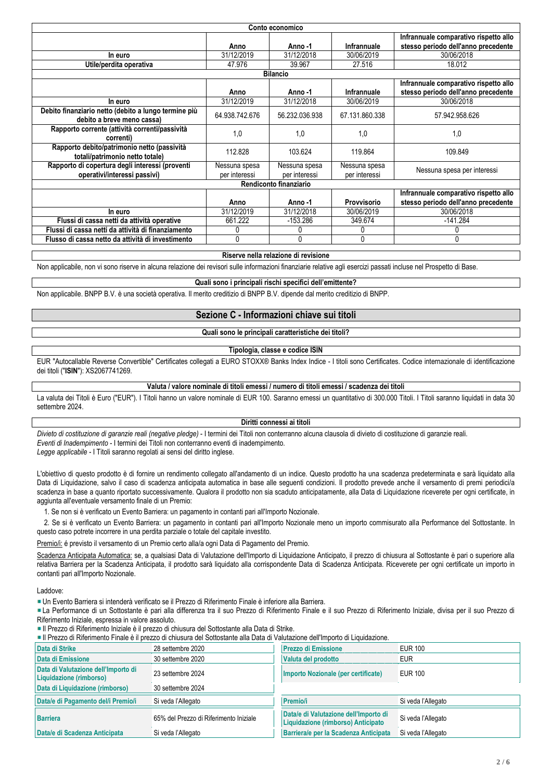| Conto economico                                                                    |                                |                                |                                |                                                                              |  |  |
|------------------------------------------------------------------------------------|--------------------------------|--------------------------------|--------------------------------|------------------------------------------------------------------------------|--|--|
|                                                                                    | Anno                           | Anno -1                        | Infrannuale                    | Infrannuale comparativo rispetto allo<br>stesso periodo dell'anno precedente |  |  |
| In euro                                                                            | 31/12/2019                     | 31/12/2018                     | 30/06/2019                     | 30/06/2018                                                                   |  |  |
| Utile/perdita operativa                                                            | 47.976                         | 39.967                         | 27.516                         | 18.012                                                                       |  |  |
|                                                                                    |                                | <b>Bilancio</b>                |                                |                                                                              |  |  |
|                                                                                    | Anno                           | Anno -1                        | Infrannuale                    | Infrannuale comparativo rispetto allo<br>stesso periodo dell'anno precedente |  |  |
| In euro                                                                            | 31/12/2019                     | 31/12/2018                     | 30/06/2019                     | 30/06/2018                                                                   |  |  |
| Debito finanziario netto (debito a lungo termine più<br>debito a breve meno cassa) | 64.938.742.676                 | 56.232.036.938                 | 67.131.860.338                 | 57.942.958.626                                                               |  |  |
| Rapporto corrente (attività correnti/passività<br>correnti)                        | 1,0                            | 1,0                            | 1,0                            | 1,0                                                                          |  |  |
| Rapporto debito/patrimonio netto (passività<br>totali/patrimonio netto totale)     | 112.828                        | 103.624                        | 119.864                        | 109.849                                                                      |  |  |
| Rapporto di copertura degli interessi (proventi<br>operativi/interessi passivi)    | Nessuna spesa<br>per interessi | Nessuna spesa<br>per interessi | Nessuna spesa<br>per interessi | Nessuna spesa per interessi                                                  |  |  |
|                                                                                    |                                | Rendiconto finanziario         |                                |                                                                              |  |  |
|                                                                                    |                                |                                |                                | Infrannuale comparativo rispetto allo                                        |  |  |
|                                                                                    | Anno                           | Anno-1                         | Provvisorio                    | stesso periodo dell'anno precedente                                          |  |  |
| In euro                                                                            | 31/12/2019                     | 31/12/2018                     | 30/06/2019                     | 30/06/2018                                                                   |  |  |
| Flussi di cassa netti da attività operative                                        | 661.222                        | -153.286                       | 349.674                        | $-141.284$                                                                   |  |  |
| Flussi di cassa netti da attività di finanziamento                                 | 0                              |                                | 0                              |                                                                              |  |  |
| Flusso di cassa netto da attività di investimento                                  | 0                              | 0                              | 0                              | 0                                                                            |  |  |

#### **Riserve nella relazione di revisione**

Non applicabile, non vi sono riserve in alcuna relazione dei revisori sulle informazioni finanziarie relative agli esercizi passati incluse nel Prospetto di Base.

**Quali sono i principali rischi specifici dell'emittente?**

Non applicabile. BNPP B.V. è una società operativa. Il merito creditizio di BNPP B.V. dipende dal merito creditizio di BNPP.

## **Sezione C - Informazioni chiave sui titoli**

#### **Quali sono le principali caratteristiche dei titoli?**

## **Tipologia, classe e codice ISIN**

EUR "Autocallable Reverse Convertible" Certificates collegati a EURO STOXX® Banks Index Indice - I titoli sono Certificates. Codice internazionale di identificazione dei titoli ("**ISIN**"): XS2067741269.

## **Valuta / valore nominale di titoli emessi / numero di titoli emessi / scadenza dei titoli**

La valuta dei Titoli è Euro ("EUR"). I Titoli hanno un valore nominale di EUR 100. Saranno emessi un quantitativo di 300.000 Titoli. I Titoli saranno liquidati in data 30 settembre 2024.

#### **Diritti connessi ai titoli**

*Divieto di costituzione di garanzie reali (negative pledge)* - I termini dei Titoli non conterranno alcuna clausola di divieto di costituzione di garanzie reali. *Eventi di Inadempimento* - I termini dei Titoli non conterranno eventi di inadempimento. *Legge applicabile* - I Titoli saranno regolati ai sensi del diritto inglese.

L'obiettivo di questo prodotto è di fornire un rendimento collegato all'andamento di un indice. Questo prodotto ha una scadenza predeterminata e sarà liquidato alla Data di Liquidazione, salvo il caso di scadenza anticipata automatica in base alle sequenti condizioni. Il prodotto prevede anche il versamento di premi periodici/a scadenza in base a quanto riportato successivamente. Qualora il prodotto non sia scaduto anticipatamente, alla Data di Liquidazione riceverete per ogni certificate, in aggiunta all'eventuale versamento finale di un Premio:

1. Se non si è verificato un Evento Barriera: un pagamento in contanti pari all'Importo Nozionale.

 2. Se si è verificato un Evento Barriera: un pagamento in contanti pari all'Importo Nozionale meno un importo commisurato alla Performance del Sottostante. In questo caso potrete incorrere in una perdita parziale o totale del capitale investito.

Premio/i: é previsto il versamento di un Premio certo alla/a ogni Data di Pagamento del Premio.

Scadenza Anticipata Automatica: se, a qualsiasi Data di Valutazione dell'Importo di Liquidazione Anticipato, il prezzo di chiusura al Sottostante è pari o superiore alla relativa Barriera per la Scadenza Anticipata, il prodotto sarà liquidato alla corrispondente Data di Scadenza Anticipata. Riceverete per ogni certificate un importo in contanti pari all'Importo Nozionale.

Laddove:

Un Evento Barriera si intenderà verificato se il Prezzo di Riferimento Finale è inferiore alla Barriera.

La Performance di un Sottostante è pari alla differenza tra il suo Prezzo di Riferimento Finale e il suo Prezzo di Riferimento Iniziale, divisa per il suo Prezzo di Riferimento Iniziale, espressa in valore assoluto.

Il Prezzo di Riferimento Iniziale è il prezzo di chiusura del Sottostante alla Data di Strike.

Il Prezzo di Riferimento Finale è il prezzo di chiusura del Sottostante alla Data di Valutazione dell'Importo di Liquidazione.

| Data di Strike                                                 | 28 settembre 2020                      | <b>Prezzo di Emissione</b>                                                  | <b>EUR 100</b>     |
|----------------------------------------------------------------|----------------------------------------|-----------------------------------------------------------------------------|--------------------|
| Data di Emissione                                              | 30 settembre 2020                      | Valuta del prodotto                                                         | <b>EUR</b>         |
| Data di Valutazione dell'Importo di<br>Liquidazione (rimborso) | 23 settembre 2024                      | Importo Nozionale (per certificate)                                         | <b>EUR 100</b>     |
| Data di Liquidazione (rimborso)                                | 30 settembre 2024                      |                                                                             |                    |
| Data/e di Pagamento del/i Premio/i                             | Si veda l'Allegato                     | <b>Premio/i</b>                                                             | Si veda l'Allegato |
| <b>Barriera</b>                                                | 65% del Prezzo di Riferimento Iniziale | Data/e di Valutazione dell'Importo di<br>Liquidazione (rimborso) Anticipato | Si veda l'Allegato |
| Data/e di Scadenza Anticipata                                  | Si veda l'Allegato                     | Barriera/e per la Scadenza Anticipata                                       | Si veda l'Allegato |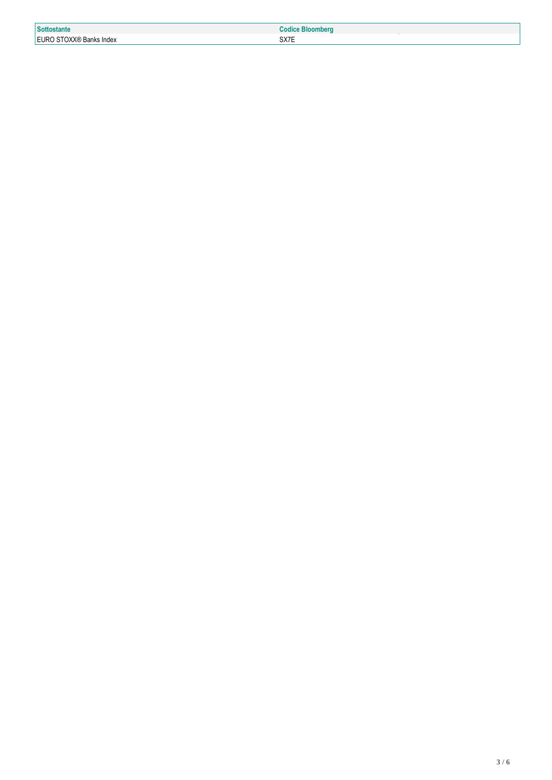| <b>Sottostante</b>                         | п.   |
|--------------------------------------------|------|
| <b>FURO</b><br>⊦Banks Index<br><b>UAA®</b> | SX7E |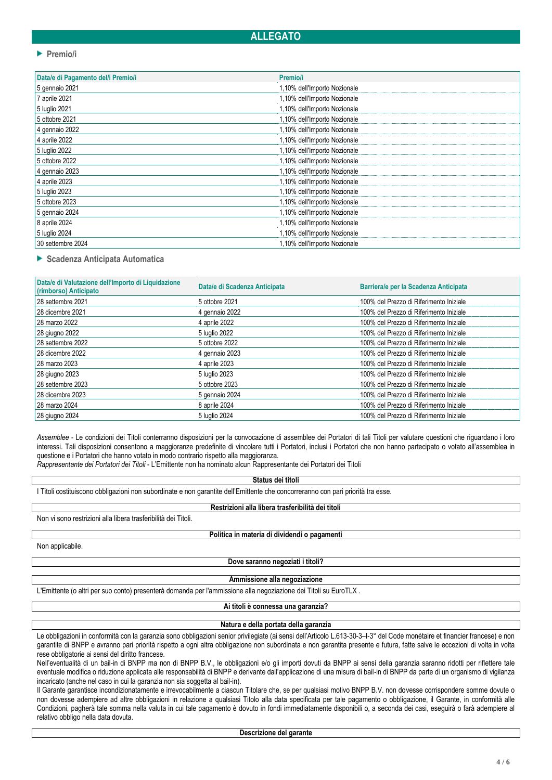# **ALLEGATO**

#### **Premio/i**

| Data/e di Pagamento del/i Premio/i | <b>Premioli</b>              |
|------------------------------------|------------------------------|
| 5 gennaio 2021                     | 1,10% dell'Importo Nozionale |
| 7 aprile 2021                      | 1,10% dell'Importo Nozionale |
| 5 luglio 2021                      | 1,10% dell'Importo Nozionale |
| 5 ottobre 2021                     | 1,10% dell'Importo Nozionale |
| 4 gennaio 2022                     | 1,10% dell'Importo Nozionale |
| 4 aprile 2022                      | 1,10% dell'Importo Nozionale |
| 5 luglio 2022                      | 1,10% dell'Importo Nozionale |
| 5 ottobre 2022                     | 1,10% dell'Importo Nozionale |
| 4 gennaio 2023                     | 1,10% dell'Importo Nozionale |
| 4 aprile 2023                      | 1,10% dell'Importo Nozionale |
| 5 luglio 2023                      | 1,10% dell'Importo Nozionale |
| 5 ottobre 2023                     | 1,10% dell'Importo Nozionale |
| 5 gennaio 2024                     | 1,10% dell'Importo Nozionale |
| 8 aprile 2024                      | 1,10% dell'Importo Nozionale |
| 5 luglio 2024                      | 1,10% dell'Importo Nozionale |
| 30 settembre 2024                  | 1,10% dell'Importo Nozionale |

**Scadenza Anticipata Automatica**

| Data/e di Scadenza Anticipata | Barriera/e per la Scadenza Anticipata   |
|-------------------------------|-----------------------------------------|
| 5 ottobre 2021                | 100% del Prezzo di Riferimento Iniziale |
| 4 gennaio 2022                | 100% del Prezzo di Riferimento Iniziale |
| 4 aprile 2022                 | 100% del Prezzo di Riferimento Iniziale |
| 5 luglio 2022                 | 100% del Prezzo di Riferimento Iniziale |
| 5 ottobre 2022                | 100% del Prezzo di Riferimento Iniziale |
| 4 gennaio 2023                | 100% del Prezzo di Riferimento Iniziale |
| 4 aprile 2023                 | 100% del Prezzo di Riferimento Iniziale |
| 5 luglio 2023                 | 100% del Prezzo di Riferimento Iniziale |
| 5 ottobre 2023                | 100% del Prezzo di Riferimento Iniziale |
| 5 gennaio 2024                | 100% del Prezzo di Riferimento Iniziale |
| 8 aprile 2024                 | 100% del Prezzo di Riferimento Iniziale |
| 5 luglio 2024                 | 100% del Prezzo di Riferimento Iniziale |
|                               |                                         |

*Assemblee* - Le condizioni dei Titoli conterranno disposizioni per la convocazione di assemblee dei Portatori di tali Titoli per valutare questioni che riguardano i loro interessi. Tali disposizioni consentono a maggioranze predefinite di vincolare tutti i Portatori, inclusi i Portatori che non hanno partecipato o votato all'assemblea in questione e i Portatori che hanno votato in modo contrario rispetto alla maggioranza.

*Rappresentante dei Portatori dei Titoli* - L'Emittente non ha nominato alcun Rappresentante dei Portatori dei Titoli

**Status dei titoli**

I Titoli costituiscono obbligazioni non subordinate e non garantite dell'Emittente che concorreranno con pari priorità tra esse.

#### **Restrizioni alla libera trasferibilità dei titoli**

Non vi sono restrizioni alla libera trasferibilità dei Titoli.

**Politica in materia di dividendi o pagamenti**

Non applicabile.

**Dove saranno negoziati i titoli?**

**Ammissione alla negoziazione**

L'Emittente (o altri per suo conto) presenterà domanda per l'ammissione alla negoziazione dei Titoli su EuroTLX .

**Ai titoli è connessa una garanzia?**

# **Natura e della portata della garanzia**

Le obbligazioni in conformità con la garanzia sono obbligazioni senior privilegiate (ai sensi dell'Articolo L.613-30-3-I-3° del Code monétaire et financier francese) e non garantite di BNPP e avranno pari priorità rispetto a ogni altra obbligazione non subordinata e non garantita presente e futura, fatte salve le eccezioni di volta in volta rese obbligatorie ai sensi del diritto francese.

Nell'eventualità di un bail-in di BNPP ma non di BNPP B.V., le obbligazioni e/o gli importi dovuti da BNPP ai sensi della garanzia saranno ridotti per riflettere tale eventuale modifica o riduzione applicata alle responsabilità di BNPP e derivante dall'applicazione di una misura di bail-in di BNPP da parte di un organismo di vigilanza incaricato (anche nel caso in cui la garanzia non sia soggetta al bail-in).

Il Garante garantisce incondizionatamente e irrevocabilmente a ciascun Titolare che, se per qualsiasi motivo BNPP B.V. non dovesse corrispondere somme dovute o non dovesse adempiere ad altre obbligazioni in relazione a qualsiasi Titolo alla data specificata per tale pagamento o obbligazione, il Garante, in conformità alle Condizioni, pagherà tale somma nella valuta in cui tale pagamento è dovuto in fondi immediatamente disponibili o, a seconda dei casi, eseguirà o farà adempiere al relativo obbligo nella data dovuta.

**Descrizione del garante**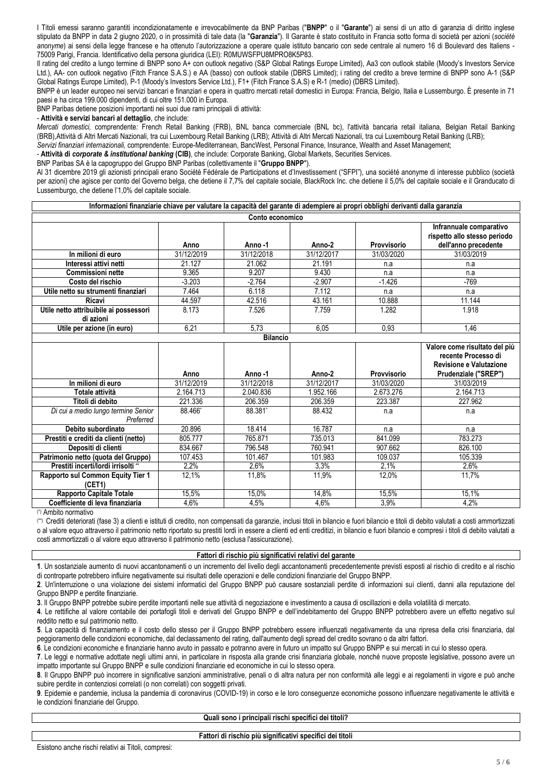I Titoli emessi saranno garantiti incondizionatamente e irrevocabilmente da BNP Paribas ("**BNPP**" o il "**Garante**") ai sensi di un atto di garanzia di diritto inglese stipulato da BNPP in data 2 giugno 2020, o in prossimità di tale data (la "**Garanzia**"). Il Garante è stato costituito in Francia sotto forma di società per azioni (*société*  anonyme) ai sensi della legge francese e ha ottenuto l'autorizzazione a operare quale istituto bancario con sede centrale al numero 16 di Boulevard des Italiens -75009 Parigi, Francia. Identificativo della persona giuridica (LEI): R0MUWSFPU8MPRO8K5P83.

Il rating del credito a lungo termine di BNPP sono A+ con outlook negativo (S&P Global Ratings Europe Limited), Aa3 con outlook stabile (Moody's Investors Service Ltd.), AA- con outlook negativo (Fitch France S.A.S.) e AA (basso) con outlook stabile (DBRS Limited); i rating del credito a breve termine di BNPP sono A-1 (S&P Global Ratings Europe Limited), P-1 (Moody's Investors Service Ltd.), F1+ (Fitch France S.A.S) e R-1 (medio) (DBRS Limited).

BNPP è un leader europeo nei servizi bancari e finanziari e opera in quattro mercati retail domestici in Europa: Francia, Belgio, Italia e Lussemburgo. È presente in 71 paesi e ha circa 199.000 dipendenti, di cui oltre 151.000 in Europa.

BNP Paribas detiene posizioni importanti nei suoi due rami principali di attività:

- **Attività e servizi bancari al dettaglio**, che include:

*Mercati domestici,* comprendente*:* French Retail Banking (FRB), BNL banca commerciale (BNL bc), l'attività bancaria retail italiana, Belgian Retail Banking (BRB),Attività di Altri Mercati Nazionali, tra cui Luxembourg Retail Banking (LRB); Attività di Altri Mercati Nazionali, tra cui Luxembourg Retail Banking (LRB); *Servizi finanziari internazionali,* comprendente*:* Europe-Mediterranean, BancWest, Personal Finance, Insurance, Wealth and Asset Management;

- **Attività di** *corporate & institutional banking* **(CIB)**, che include: Corporate Banking, Global Markets, Securities Services.

BNP Paribas SA è la capogruppo del Gruppo BNP Paribas (collettivamente il "**Gruppo BNPP**").

Al 31 dicembre 2019 gli azionisti principali erano Société Fédérale de Participations et d'Investissement ("SFPI"), una société anonyme di interesse pubblico (società per azioni) che agisce per conto del Governo belga, che detiene il 7,7% del capitale sociale, BlackRock Inc. che detiene il 5,0% del capitale sociale e il Granducato di Lussemburgo, che detiene l'1,0% del capitale sociale.

#### **Informazioni finanziarie chiave per valutare la capacità del garante di adempiere ai propri obblighi derivanti dalla garanzia**

| Conto economico                                     |            |            |            |             |                                                                                 |
|-----------------------------------------------------|------------|------------|------------|-------------|---------------------------------------------------------------------------------|
|                                                     | Anno       | Anno-1     | Anno-2     | Provvisorio | Infrannuale comparativo<br>rispetto allo stesso periodo<br>dell'anno precedente |
| In milioni di euro                                  | 31/12/2019 | 31/12/2018 | 31/12/2017 | 31/03/2020  | 31/03/2019                                                                      |
| Interessi attivi netti                              | 21.127     | 21.062     | 21.191     | n.a         | n.a                                                                             |
| <b>Commissioni nette</b>                            | 9.365      | 9.207      | 9.430      | n.a         | n.a                                                                             |
| Costo del rischio                                   | $-3.203$   | $-2.764$   | $-2.907$   | $-1.426$    | -769                                                                            |
| Utile netto su strumenti finanziari                 | 7.464      | 6.118      | 7.112      | n.a         | n.a                                                                             |
| Ricavi                                              | 44.597     | 42.516     | 43.161     | 10.888      | 11.144                                                                          |
| Utile netto attribuibile ai possessori<br>di azioni | 8.173      | 7.526      | 7.759      | 1.282       | 1.918                                                                           |
| Utile per azione (in euro)                          | 6,21       | 5,73       | 6,05       | 0,93        | 1.46                                                                            |

| <b>Bilancio</b>                                  |            |            |            |                    |                                                                                                         |
|--------------------------------------------------|------------|------------|------------|--------------------|---------------------------------------------------------------------------------------------------------|
|                                                  | Anno       | Anno-1     | Anno-2     | <b>Provvisorio</b> | Valore come risultato del più<br>recente Processo di<br>Revisione e Valutazione<br>Prudenziale ("SREP") |
| In milioni di euro                               | 31/12/2019 | 31/12/2018 | 31/12/2017 | 31/03/2020         | 31/03/2019                                                                                              |
| Totale attività                                  | 2.164.713  | 2.040.836  | 1.952.166  | 2.673.276          | 2.164.713                                                                                               |
| Titoli di debito                                 | 221.336    | 206.359    | 206.359    | 223.387            | 227.962                                                                                                 |
| Di cui a medio lungo termine Senior<br>Preferred | 88.466*    | 88.381*    | 88.432     | n.a                | n.a                                                                                                     |
| Debito subordinato                               | 20.896     | 18.414     | 16.787     | n.a                | n.a                                                                                                     |
| Prestiti e crediti da clienti (netto)            | 805.777    | 765.871    | 735.013    | 841.099            | 783.273                                                                                                 |
| Depositi di clienti                              | 834.667    | 796.548    | 760.941    | 907.662            | 826.100                                                                                                 |
| Patrimonio netto (quota del Gruppo)              | 107.453    | 101.467    | 101.983    | 109.037            | 105.339                                                                                                 |
| Prestiti incerti/lordi irrisolti **              | 2,2%       | 2,6%       | $3.3\%$    | 2.1%               | 2,6%                                                                                                    |
| Rapporto sul Common Equity Tier 1                | 12,1%      | 11,8%      | 11,9%      | 12,0%              | 11,7%                                                                                                   |
| (CET1)                                           |            |            |            |                    |                                                                                                         |
| <b>Rapporto Capitale Totale</b>                  | 15,5%      | 15,0%      | 14,8%      | 15,5%              | 15,1%                                                                                                   |
| Coefficiente di leva finanziaria                 | 4,6%       | 4,5%       | 4,6%       | 3,9%               | 4,2%                                                                                                    |

(\*) Ambito normativo

(\*\*) Crediti deteriorati (fase 3) a clienti e istituti di credito, non compensati da garanzie, inclusi titoli in bilancio e fuori bilancio e titoli di debito valutati a costi ammortizzati o al valore equo attraverso il patrimonio netto riportato su prestiti lordi in essere a clienti ed enti creditizi, in bilancio e fuori bilancio e compresi i titoli di debito valutati a costi ammortizzati o al valore equo attraverso il patrimonio netto (esclusa l'assicurazione).

#### **Fattori di rischio più significativi relativi del garante**

**1**. Un sostanziale aumento di nuovi accantonamenti o un incremento del livello degli accantonamenti precedentemente previsti esposti al rischio di credito e al rischio di controparte potrebbero influire negativamente sui risultati delle operazioni e delle condizioni finanziarie del Gruppo BNPP.

**2**. Un'interruzione o una violazione dei sistemi informatici del Gruppo BNPP può causare sostanziali perdite di informazioni sui clienti, danni alla reputazione del Gruppo BNPP e perdite finanziarie.

**3**. Il Gruppo BNPP potrebbe subire perdite importanti nelle sue attività di negoziazione e investimento a causa di oscillazioni e della volatilità di mercato.

**4**. Le rettifiche al valore contabile dei portafogli titoli e derivati del Gruppo BNPP e dell'indebitamento del Gruppo BNPP potrebbero avere un effetto negativo sul reddito netto e sul patrimonio netto.

**5**. La capacità di finanziamento e il costo dello stesso per il Gruppo BNPP potrebbero essere influenzati negativamente da una ripresa della crisi finanziaria, dal peggioramento delle condizioni economiche, dal declassamento del rating, dall'aumento degli spread del credito sovrano o da altri fattori.

**6**. Le condizioni economiche e finanziarie hanno avuto in passato e potranno avere in futuro un impatto sul Gruppo BNPP e sui mercati in cui lo stesso opera.

**7**. Le leggi e normative adottate negli ultimi anni, in particolare in risposta alla grande crisi finanziaria globale, nonché nuove proposte legislative, possono avere un impatto importante sul Gruppo BNPP e sulle condizioni finanziarie ed economiche in cui lo stesso opera.

**8**. Il Gruppo BNPP può incorrere in significative sanzioni amministrative, penali o di altra natura per non conformità alle leggi e ai regolamenti in vigore e può anche subire perdite in contenziosi correlati (o non correlati) con soggetti privati.

**9**. Epidemie e pandemie, inclusa la pandemia di coronavirus (COVID-19) in corso e le loro conseguenze economiche possono influenzare negativamente le attività e le condizioni finanziarie del Gruppo.

#### **Quali sono i principali rischi specifici dei titoli?**

#### **Fattori di rischio più significativi specifici dei titoli**